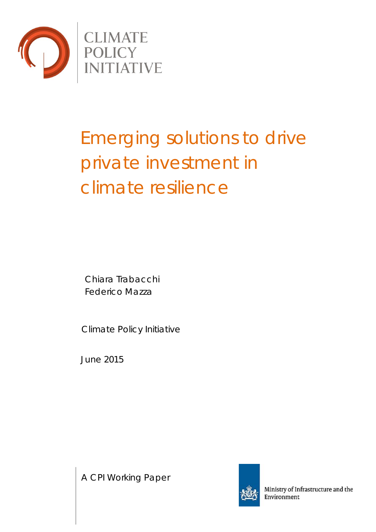

# Emerging solutions to drive private investment in climate resilience

Chiara Trabacchi Federico Mazza

Climate Policy Initiative

June 2015

A CPI Working Paper



Ministry of Infrastructure and the Environment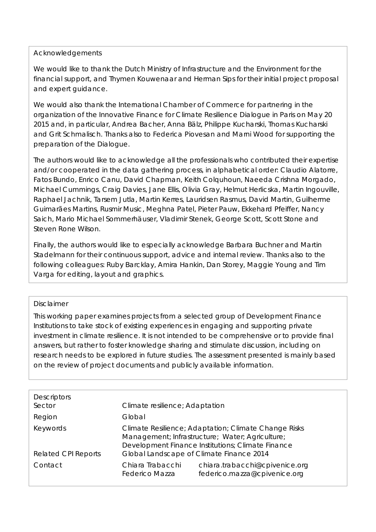### Acknowledgements

We would like to thank the Dutch Ministry of Infrastructure and the Environment for the financial support, and Thymen Kouwenaar and Herman Sips for their initial project proposal and expert guidance.

We would also thank the International Chamber of Commerce for partnering in the organization of the Innovative Finance for Climate Resilience Dialogue in Paris on May 20 2015 and, in particular, Andrea Bacher, Anna Bälz, Philippe Kucharski, Thomas Kucharski and Grit Schmalisch. Thanks also to Federica Piovesan and Marni Wood for supporting the preparation of the Dialogue.

The authors would like to acknowledge all the professionals who contributed their expertise and/or cooperated in the data gathering process, in alphabetical order: Claudio Alatorre, Fatos Bundo, Enrico Canu, David Chapman, Keith Colquhoun, Naeeda Crishna Morgado, Michael Cummings, Craig Davies, Jane Ellis, Olivia Gray, Helmut Herlicska, Martin Ingouville, Raphael Jachnik, Tarsem Jutla, Martin Kerres, Lauridsen Rasmus, David Martin, Guilherme Guimarães Martins, Rusmir Music, Meghna Patel, Pieter Pauw, Ekkehard Pfeiffer, Nancy Saich, Mario Michael Sommerhäuser, Vladimir Stenek, George Scott, Scott Stone and Steven Rone Wilson.

Finally, the authors would like to especially acknowledge Barbara Buchner and Martin Stadelmann for their continuous support, advice and internal review. Thanks also to the following colleagues: Ruby Barcklay, Amira Hankin, Dan Storey, Maggie Young and Tim Varga for editing, layout and graphics.

### Disclaimer

This working paper examines projects from a selected group of Development Finance Institutions to take stock of existing experiences in engaging and supporting private investment in climate resilience. It is not intended to be comprehensive or to provide final answers, but rather to foster knowledge sharing and stimulate discussion, including on research needs to be explored in future studies. The assessment presented is mainly based on the review of project documents and publicly available information.

| Climate resilience; Adaptation                                                                                                                               |                                                                |
|--------------------------------------------------------------------------------------------------------------------------------------------------------------|----------------------------------------------------------------|
| Global                                                                                                                                                       |                                                                |
| Climate Resilience; Adaptation; Climate Change Risks<br>Management; Infrastructure; Water; Agriculture;<br>Development Finance Institutions; Climate Finance |                                                                |
| Global Landscape of Climate Finance 2014                                                                                                                     |                                                                |
| Chiara Trabacchi<br><b>Federico Mazza</b>                                                                                                                    | chiara.trabacchi@cpivenice.org<br>federico.mazza@cpivenice.org |
|                                                                                                                                                              |                                                                |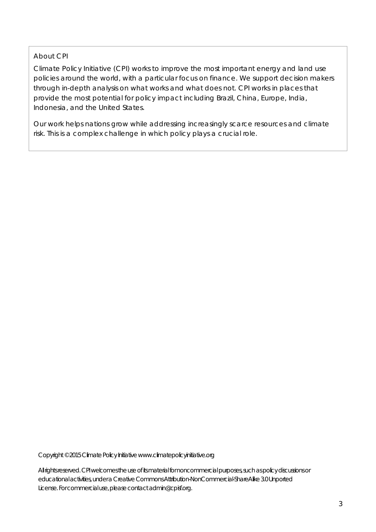## About CPI

Climate Policy Initiative (CPI) works to improve the most important energy and land use policies around the world, with a particular focus on finance. We support decision makers through in-depth analysis on what works and what does not. CPI works in places that provide the most potential for policy impact including Brazil, China, Europe, India, Indonesia, and the United States.

Our work helps nations grow while addressing increasingly scarce resources and climate risk. This is a complex challenge in which policy plays a crucial role.

Copyright © 2015Climate Policy Initiative www.climatepolicyinitiative.org

All rights reserved. CPI welcomes the use of its material for noncommercial purposes, such as policy discussions or educational activities, under a Creative Commons Attribution-NonCommercial-ShareAlike 3.0 Unported License. For commercial use, please contact admin@cpisf.org.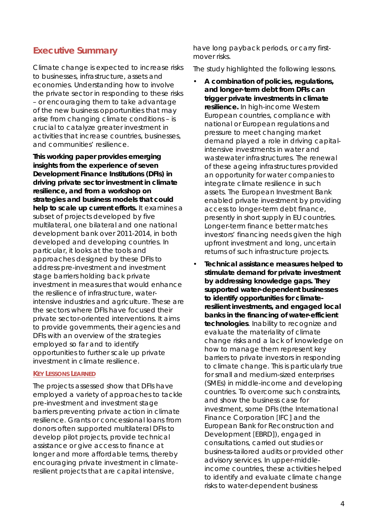# **Executive Summary**

Climate change is expected to increase risks to businesses, infrastructure, assets and economies. Understanding how to involve the private sector in responding to these risks – or encouraging them to take advantage of the new business opportunities that may arise from changing climate conditions – is crucial to catalyze greater investment in activities that increase countries, businesses, and communities' resilience.

**This working paper provides emerging insights from the experience of seven Development Finance Institutions (DFIs) in driving private sector investment in climate resilience, and from a workshop on strategies and business models that could help to scale up current efforts.** It examines a subset of projects developed by five multilateral, one bilateral and one national development bank over 2011-2014, in both developed and developing countries. In particular, it looks at the tools and approaches designed by these DFIs to address pre-investment and investment stage barriers holding back private investment in measures that would enhance the resilience of infrastructure, waterintensive industries and agriculture. These are the sectors where DFIs have focused their private sector-oriented interventions. It aims to provide governments, their agencies and DFIs with an overview of the strategies employed so far and to identify opportunities to further scale up private investment in climate resilience.

#### **KEY LESSONS LEARNED**

The projects assessed show that DFIs have employed a variety of approaches to tackle pre-investment and investment stage barriers preventing private action in climate resilience. Grants or concessional loans from donors often supported multilateral DFIs to develop pilot projects, provide technical assistance or give access to finance at longer and more affordable terms, thereby encouraging private investment in climateresilient projects that are capital intensive,

have long payback periods, or carry firstmover risks.

The study highlighted the following lessons.

- **A combination of policies, regulations, and longer-term debt from DFIs can trigger private investments in climate resilience.** In high-income Western European countries, compliance with national or European regulations and pressure to meet changing market demand played a role in driving capitalintensive investments in water and wastewater infrastructures. The renewal of these ageing infrastructures provided an opportunity for water companies to integrate climate resilience in such assets. The European Investment Bank enabled private investment by providing access to longer-term debt finance, presently in short supply in EU countries. Longer-term finance better matches investors' financing needs given the high upfront investment and long, uncertain returns of such infrastructure projects.
- **Technical assistance measures helped to stimulate demand for private investment by addressing knowledge gaps. They supported water-dependent businesses to identify opportunities for climateresilient investments, and engaged local banks in the financing of water-efficient technologies**. Inability to recognize and evaluate the materiality of climate change risks and a lack of knowledge on how to manage them represent key barriers to private investors in responding to climate change. This is particularly true for small and medium-sized enterprises (SMEs) in middle-income and developing countries. To overcome such constraints, and show the business case for investment, some DFIs (the International Finance Corporation [IFC] and the European Bank for Reconstruction and Development [EBRD]), engaged in consultations, carried out studies or business-tailored audits or provided other advisory services. In upper-middleincome countries, these activities helped to identify and evaluate climate change risks to water-dependent business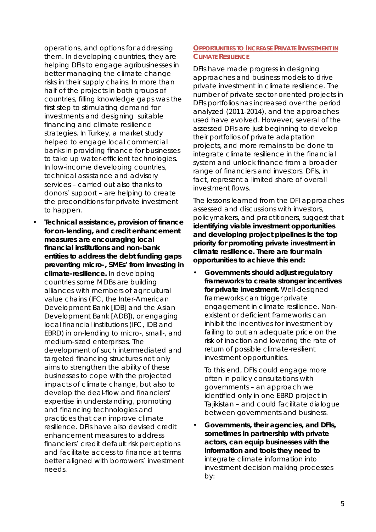operations, and options for addressing them. In developing countries, they are helping DFIs to engage agribusinesses in better managing the climate change risks in their supply chains. In more than half of the projects in both groups of countries, filling knowledge gaps was the first step to stimulating demand for investments and designing suitable financing and climate resilience strategies. In Turkey, a market study helped to engage local commercial banks in providing finance for businesses to take up water-efficient technologies. In low-income developing countries, technical assistance and advisory services – carried out also thanks to donors' support – are helping to create the preconditions for private investment to happen.

• **Technical assistance, provision of finance for on-lending, and credit enhancement measures are encouraging local financial institutions and non-bank entities to address the debt funding gaps preventing micro-, SMEs' from investing in climate-resilience.** In developing countries some MDBs are building alliances with members of agricultural value chains (IFC, the Inter-American Development Bank [IDB] and the Asian Development Bank [ADB]), or engaging local financial institutions (IFC, IDB and EBRD) in on-lending to micro-, small-, and medium-sized enterprises. The development of such intermediated and targeted financing structures not only aims to strengthen the ability of these businesses to cope with the projected impacts of climate change, but also to develop the deal-flow and financiers' expertise in understanding, promoting and financing technologies and practices that can improve climate resilience. DFIs have also devised credit enhancement measures to address financiers' credit default risk perceptions and facilitate access to finance at terms better aligned with borrowers' investment needs.

#### **OPPORTUNITIES TO INCREASE PRIVATE INVESTMENT IN CLIMATE RESILIENCE**

DFIs have made progress in designing approaches and business models to drive private investment in climate resilience. The number of private sector-oriented projects in DFIs portfolios has increased over the period analyzed (2011-2014), and the approaches used have evolved. However, several of the assessed DFIs are just beginning to develop their portfolios of private adaptation projects, and more remains to be done to integrate climate resilience in the financial system and unlock finance from a broader range of financiers and investors. DFIs, in fact, represent a limited share of overall investment flows.

The lessons learned from the DFI approaches assessed and discussions with investors, policymakers, and practitioners, suggest that **identifying viable investment opportunities and developing project pipelines is the top priority for promoting private investment in climate resilience. There are four main opportunities to achieve this end:**

• **Governments should adjust regulatory frameworks to create stronger incentives for private investment.** Well-designed frameworks can trigger private engagement in climate resilience. Nonexistent or deficient frameworks can inhibit the incentives for investment by failing to put an adequate price on the risk of inaction and lowering the rate of return of possible climate-resilient investment opportunities.

To this end, DFIs could engage more often in policy consultations with governments – an approach we identified only in one EBRD project in Tajikistan – and could facilitate dialogue between governments and business.

• **Governments, their agencies, and DFIs, sometimes in partnership with private actors, can equip businesses with the information and tools they need to**  integrate climate information into investment decision making processes by: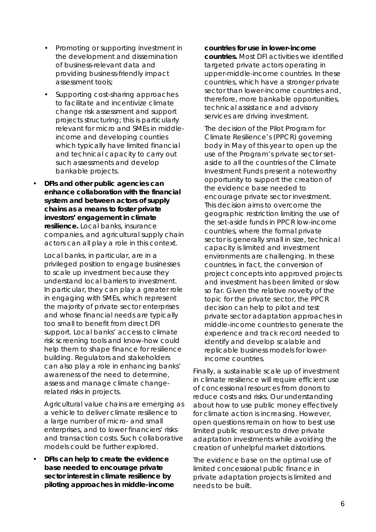- Promoting or supporting investment in the development and dissemination of business-relevant data and providing business-friendly impact assessment tools;
- Supporting cost-sharing approaches to facilitate and incentivize climate change risk assessment and support projects structuring; this is particularly relevant for micro and SMEs in middleincome and developing counties which typically have limited financial and technical capacity to carry out such assessments and develop bankable projects.
- **DFIs and other public agencies can enhance collaboration with the financial system and between actors of supply chains as a means to foster private investors' engagement in climate resilience.** Local banks, insurance companies, and agricultural supply chain actors can all play a role in this context.

Local banks, in particular, are in a privileged position to engage businesses to scale up investment because they understand local barriers to investment. In particular, they can play a greater role in engaging with SMEs, which represent the majority of private sector enterprises and whose financial needs are typically too small to benefit from direct DFI support. Local banks' access to climate risk screening tools and know-how could help them to shape finance for resilience building. Regulators and stakeholders can also play a role in enhancing banks' awareness of the need to determine, assess and manage climate changerelated risks in projects.

Agricultural value chains are emerging as a vehicle to deliver climate resilience to a large number of micro- and small enterprises, and to lower financiers' risks and transaction costs. Such collaborative models could be further explored.

• **DFIs can help to create the evidence base needed to encourage private sector interest in climate resilience by piloting approaches in middle-income**  **countries for use in lower-income countries.** Most DFI activities we identified targeted private actors operating in upper-middle-income countries. In these countries, which have a stronger private sector than lower-income countries and, therefore, more bankable opportunities, technical assistance and advisory services are driving investment.

The decision of the Pilot Program for Climate Resilience's (PPCR) governing body in May of this year to open up the use of the Program's private sector setaside to all the countries of the Climate Investment Funds present a noteworthy opportunity to support the creation of the evidence base needed to encourage private sector investment. This decision aims to overcome the geographic restriction limiting the use of the set-aside funds in PPCR low-income countries, where the formal private sector is generally small in size, technical capacity is limited and investment environments are challenging. In these countries, in fact, the conversion of project concepts into approved projects and investment has been limited or slow so far. Given the relative novelty of the topic for the private sector, the PPCR decision can help to pilot and test private sector adaptation approaches in middle-income countries to generate the experience and track record needed to identify and develop scalable and replicable business models for lowerincome countries.

Finally, a sustainable scale up of investment in climate resilience will require efficient use of concessional resources from donors to reduce costs and risks. Our understanding about how to use public money effectively for climate action is increasing. However, open questions remain on how to best use limited public resources to drive private adaptation investments while avoiding the creation of unhelpful market distortions.

The evidence base on the optimal use of limited concessional public finance in private adaptation projects is limited and needs to be built.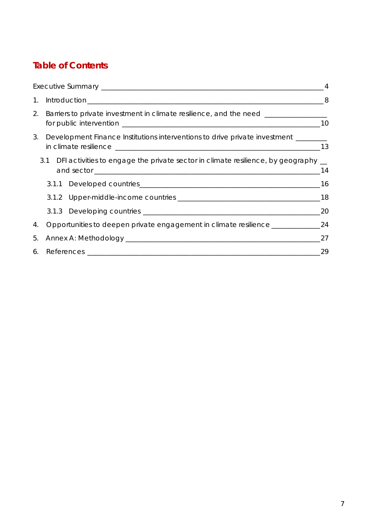# **Table of Contents**

|                                                                                       | $\overline{4}$ |
|---------------------------------------------------------------------------------------|----------------|
|                                                                                       |                |
| 2. Barriers to private investment in climate resilience, and the need ___________     |                |
| 3. Development Finance Institutions interventions to drive private investment _______ |                |
| 3.1 DFI activities to engage the private sector in climate resilience, by geography _ | 14             |
|                                                                                       |                |
|                                                                                       |                |
|                                                                                       | 20             |
| 4. Opportunities to deepen private engagement in climate resilience _____________24   |                |
|                                                                                       | 27             |
|                                                                                       | 29             |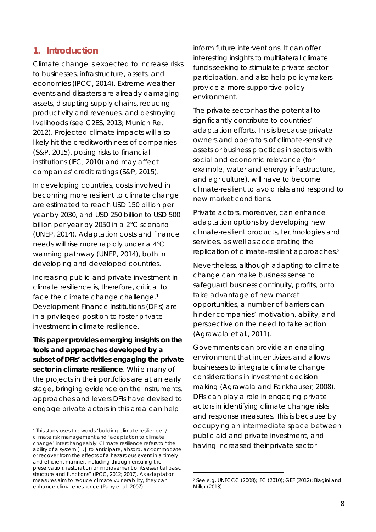# **1. Introduction**

Climate change is expected to increase risks to businesses, infrastructure, assets, and economies (IPCC, 2014). Extreme weather events and disasters are already damaging assets, disrupting supply chains, reducing productivity and revenues, and destroying livelihoods (see C2ES, 2013; Munich Re, 2012). Projected climate impacts will also likely hit the creditworthiness of companies (S&P, 2015), posing risks to financial institutions (IFC, 2010) and may affect companies' credit ratings (S&P, 2015).

In developing countries, costs involved in becoming more resilient to climate change are estimated to reach USD 150 billion per year by 2030, and USD 250 billion to USD 500 billion per year by 2050 in a 2°C scenario (UNEP, 2014). Adaptation costs and finance needs will rise more rapidly under a 4°C warming pathway (UNEP, 2014), both in developing and developed countries.

Increasing public and private investment in climate resilience is, therefore, critical to face the climate change challenge.<sup>1</sup> Development Finance Institutions (DFIs) are in a privileged position to foster private investment in climate resilience.

**This paper provides emerging insights on the tools and approaches developed by a subset of DFIs' activities engaging the private sector in climate resilience**. While many of the projects in their portfolios are at an early stage, bringing evidence on the instruments, approaches and levers DFIs have devised to engage private actors in this area can help

inform future interventions. It can offer interesting insights to multilateral climate funds seeking to stimulate private sector participation, and also help policymakers provide a more supportive policy environment.

The private sector has the potential to significantly contribute to countries' adaptation efforts. This is because private owners and operators of climate-sensitive assets or business practices in sectors with social and economic relevance (for example, water and energy infrastructure, and agriculture), will have to become climate-resilient to avoid risks and respond to new market conditions.

Private actors, moreover, can enhance adaptation options by developing new climate-resilient products, technologies and services, as well as accelerating the replication of climate-resilient approaches. 2

Nevertheless, although adapting to climate change can make business sense to safeguard business continuity, profits, or to take advantage of new market opportunities, a number of barriers can hinder companies' motivation, ability, and perspective on the need to take action (Agrawala et al., 2011).

Governments can provide an enabling environment that incentivizes and allows businesses to integrate climate change considerations in investment decision making (Agrawala and Fankhauser, 2008). DFIs can play a role in engaging private actors in identifying climate change risks and response measures. This is because by occupying an intermediate space between public aid and private investment, and having increased their private sector

 <sup>1</sup> This study uses the words 'building climate resilience' / climate risk management and 'adaptation to climate change' interchangeably. Climate resilience refers to "the ability of a system […] to anticipate, absorb, accommodate or recover from the effects of a hazardous event in a timely and efficient manner, including through ensuring the preservation, restoration or improvement of its essential basic structure and functions" (IPCC, 2012; 2007). As adaptation measures aim to reduce climate vulnerability, they can enhance climate resilience (Parry et al. 2007).

 <sup>2</sup> See e.g. UNFCCC (2008); IFC (2010); GEF (2012); Biagini and Miller (2013).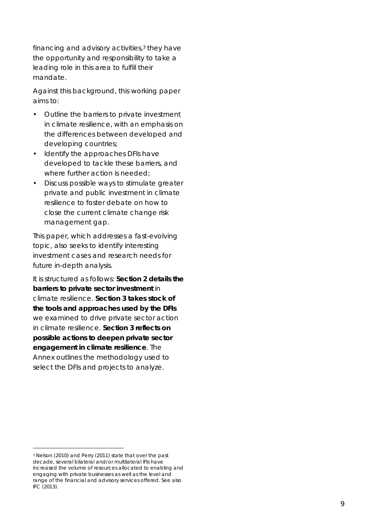financing and advisory activities, <sup>3</sup> they have the opportunity and responsibility to take a leading role in this area to fulfill their mandate.

Against this background, this working paper aims to:

- Outline the barriers to private investment in climate resilience, with an emphasis on the differences between developed and developing countries;
- Identify the approaches DFIs have developed to tackle these barriers, and where further action is needed;
- Discuss possible ways to stimulat e greater private and public investment in climate resilience to foster debate on how to close the current climate change risk management gap.

This paper, which addresses a fast -evolving topic, also seeks to identify interesting investment cases and research needs for future in -depth analysis.

It is structured as follows: **Section 2 details the barriers to private sector investment** in climate resilience. **Section 3 takes stock of the tools and approaches used by the DFIs** we examined to drive private sector action in climate resilience. **Section 3 reflects on possible actions to deepen private sector engagement in climate resilience** . The Annex outlines the methodology used to select the DFIs and projects to analyze.

 <sup>3</sup> Nelson (2010) and Perry (2011) state that over the past decade, several bilateral and/or multilateral IFIs have increased the volume of resources allocated to enabling and engaging with private businesses as well as the level and range of the financial and advisory services offered. See also IFC (2013).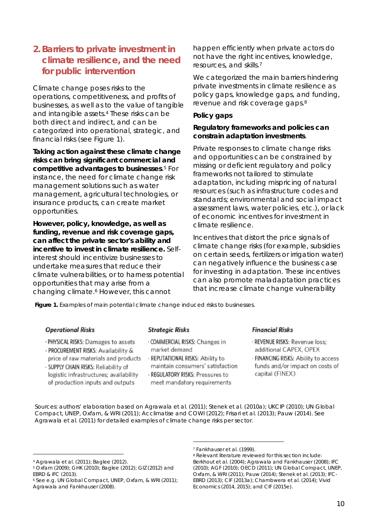# **2. Barriers to private investment in climate resilience, and the need for public intervention**

Climate change poses risks to the operations, competitiveness, and profits of businesses, as well as to the value of tangible and intangible assets. <sup>4</sup> These risks can be both direct and indirect, and can be categorized into operational, strategic, and financial risks (see Figure 1).

**Taking action against these climate change risks can bring significant commercial and competitive advantages to businesses**. <sup>5</sup> For instance, the need for climate change risk management solutions such as water management, agricultural technologies, or insurance products, can create market opportunities.

**However, policy, knowledge, as well as funding, revenue and risk coverage gaps, can affect the private sector's ability and incentive to invest in climate resilience.** Selfinterest should incentivize businesses to undertake measures that reduce their climate vulnerabilities, or to harness potential opportunities that may arise from a changing climate.6 However, this cannot

happen efficiently when private actors do not have the right incentives, knowledge, resources, and skills. 7

We categorized the main barriers hindering private investments in climate resilience as policy gaps, knowledge gaps, and funding, revenue and risk coverage gaps.<sup>8</sup>

#### **Policy gaps**

**Regulatory frameworks and policies can constrain adaptation investments**.

Private responses to climate change risks and opportunities can be constrained by missing or deficient regulatory and policy frameworks not tailored to stimulate adaptation, including mispricing of natural resources (such as infrastructure codes and standards; environmental and social impact assessment laws, water policies, etc.), or lack of economic incentives for investment in climate resilience.

Incentives that distort the price signals of climate change risks (for example, subsidies on certain seeds, fertilizers or irrigation water) can negatively influence the business case for investing in adaptation. These incentives can also promote maladaptation practices that increase climate change vulnerability

*Figure 1. Examples of main potential climate change induced risks to businesses.*

#### **Operational Risks**

- · PHYSICAL RISKS: Damages to assets
- · PROCUREMENT RISKS: Availability & price of raw materials and products
- · SUPPLY CHAIN RISKS: Reliability of logistic infrastructures; availability of production inputs and outputs
- **Strategic Risks**
- · COMMERCIAL RISKS: Changes in market demand
- · REPUTATIONAL RISKS: Ability to maintain consumers' satisfaction
- · REGULATORY RISKS: Pressures to meet mandatory requirements

#### **Financial Risks**

- · REVENUE RISKS: Revenue loss; additional CAPEX, OPEX
- · FINANCING RISKS: Ability to access funds and/or impact on costs of capital (FINEX)

*Sources: authors' elaboration based on Agrawala et al. (2011); Stenek et al. (2010a); UKCIP (2010); UN Global Compact, UNEP, Oxfam, & WRI (2011); Acclimatise and COWI (2012); Frisari et al. (2013); Pauw (2014). See Agrawala et al. (2011) for detailed examples of climate change risks per sector.*

 <sup>4</sup> Agrawala et al. (2011); Baglee (2012).

<sup>5</sup> Oxfam (2009); GHK (2010); Baglee (2012); GIZ (2012) and EBRD & IFC (2013).

<sup>6</sup> See e.g. UN Global Compact, UNEP, Oxfam, & WRI (2011);

Agrawala and Fankhauser (2008).

 <sup>7</sup> Fankhauser et al. (1999).

<sup>8</sup> Relevant literature reviewed for this section include: Berkhout et al. (2004); Agrawala and Fankhauser (2008); IFC (2010); AGF (2010); OECD (2011); UN Global Compact, UNEP, Oxfam, & WRI (2011); Pauw (2014); Stenek et al. (2013); IFC-EBRD (2013); CIF (2013a); Chambwera et al. (2014); Vivid Economics (2014, 2015); and CIF (2015e).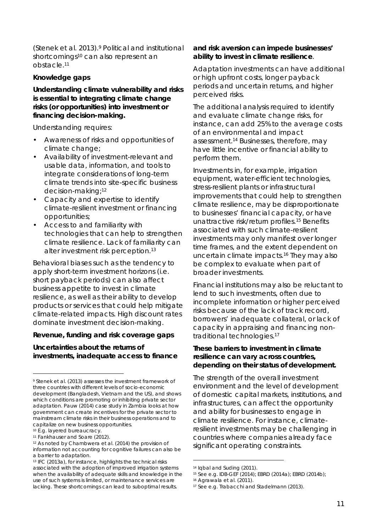(Stenek et al. 2013).9 Political and institutional shortcomings<sup>10</sup> can also represent an obstacle. 11

#### **Knowledge gaps**

**Understanding climate vulnerability and risks is essential to integrating climate change risks (or opportunities) into investment or financing decision-making.** 

Understanding requires:

- Awareness of risks and opportunities of climate change;
- Availability of investment-relevant and usable data, information, and tools to integrate considerations of long-term climate trends into site-specific business decision-making; 12
- Capacity and expertise to identify climate-resilient investment or financing opportunities;
- Access to and familiarity with technologies that can help to strengthen climate resilience. Lack of familiarity can alter investment risk perception. 13

Behavioral biases such as the tendency to apply short-term investment horizons (i.e. short payback periods) can also affect business appetite to invest in climate resilience, as well as their ability to develop products or services that could help mitigate climate-related impacts. High discount rates dominate investment decision-making.

**Revenue, funding and risk coverage gaps**

**Uncertainties about the returns of investments, inadequate access to finance** **and risk aversion can impede businesses' ability to invest in climate resilience**.

Adaptation investments can have additional or high upfront costs, longer payback periods and uncertain returns, and higher perceived risks.

The additional analysis required to identify and evaluate climate change risks, for instance, can add 25% to the average costs of an environmental and impact assessment.14 Businesses, therefore, may have little incentive or financial ability to perform them.

Investments in, for example, irrigation equipment, water-efficient technologies, stress-resilient plants or infrastructural improvements that could help to strengthen climate resilience, may be disproportionate to businesses' financial capacity, or have unattractive risk/return profiles.15 Benefits associated with such climate-resilient investments may only manifest over longer time frames, and the extent dependent on uncertain climate impacts.16 They may also be complex to evaluate when part of broader investments.

Financial institutions may also be reluctant to lend to such investments, often due to incomplete information or higher perceived risks because of the lack of track record, borrowers' inadequate collateral, or lack of capacity in appraising and financing nontraditional technologies. 17

**These barriers to investment in climate resilience can vary across countries, depending on their status of development.**

The strength of the overall investment environment and the level of development of domestic capital markets, institutions, and infrastructures, can affect the opportunity and ability for businesses to engage in climate resilience. For instance, climateresilient investments may be challenging in countries where companies already face significant operating constraints.

 <sup>9</sup> Stenek et al. (2013) assesses the investment framework of three countries with different levels of socio-economic development (Bangladesh, Vietnam and the US), and shows which conditions are promoting or inhibiting private sector adaptation. Pauw (2014) case study in Zambia looks at how government can create incentives for the private sector to mainstream climate risks in their business operations and to capitalize on new business opportunities.

<sup>10</sup> E.g. layered bureaucracy.

<sup>11</sup> Fankhauser and Soare (2012).

<sup>12</sup> As noted by Chambwera et al. (2014) the provision of information not accounting for cognitive failures can also be a barrier to adaptation.

<sup>13</sup> IFC (2013a), for instance, highlights the technical risks associated with the adoption of improved irrigation systems when the availability of adequate skills and knowledge in the use of such systems is limited, or maintenance services are lacking. These shortcomings can lead to suboptimal results.

 <sup>14</sup> Iqbal and Suding (2011).

<sup>15</sup> See e.g. IDB-GEF (2014); EBRD (2014a); EBRD (2014b);

<sup>16</sup> Agrawala et al. (2011).

<sup>17</sup> See e.g. Trabacchi and Stadelmann (2013).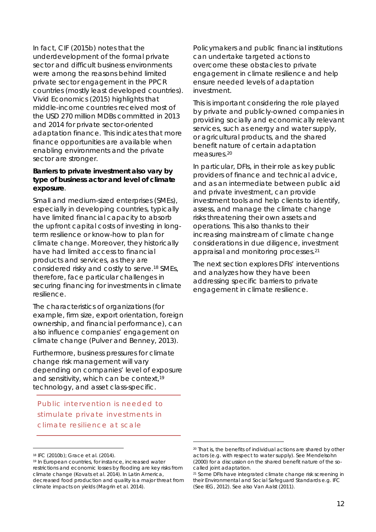In fact, CIF (2015b) notes that the underdevelopment of the formal private sector and difficult business environments were among the reasons behind limited private sector engagement in the PPCR countries (mostly least developed countries). Vivid Economics (2015) highlights that middle-income countries received most of the USD 270 million MDBs committed in 2013 and 2014 for private sector-oriented adaptation finance. This indicates that more finance opportunities are available when enabling environments and the private sector are stronger.

**Barriers to private investment also vary by type of business actor and level of climate exposure**.

Small and medium-sized enterprises (SMEs), especially in developing countries, typically have limited financial capacity to absorb the upfront capital costs of investing in longterm resilience or know-how to plan for climate change. Moreover, they historically have had limited access to financial products and services, as they are considered risky and costly to serve.18 SMEs, therefore, face particular challenges in securing financing for investments in climate resilience.

The characteristics of organizations (for example, firm size, export orientation, foreign ownership, and financial performance), can also influence companies' engagement on climate change (Pulver and Benney, 2013).

Furthermore, business pressures for climate change risk management will vary depending on companies' level of exposure and sensitivity, which can be context,19 technology, and asset class-specific.

*Public intervention is needed to stimulate private investments in climate resilience at scale*

Policymakers and public financial institutions can undertake targeted actions to overcome these obstacles to private engagement in climate resilience and help ensure needed levels of adaptation investment.

This is important considering the role played by private and publicly-owned companies in providing socially and economically relevant services, such as energy and water supply, or agricultural products, and the shared benefit nature of certain adaptation measures.20

In particular, DFIs, in their role as key public providers of finance and technical advice, and as an intermediate between public aid and private investment, can provide investment tools and help clients to identify, assess, and manage the climate change risks threatening their own assets and operations. This also thanks to their increasing mainstream of climate change considerations in due diligence, investment appraisal and monitoring processes.21

The next section explores DFIs' interventions and analyzes how they have been addressing specific barriers to private engagement in climate resilience.

 <sup>18</sup> IFC (2010b); Grace et al. (2014).

<sup>19</sup> In European countries, for instance, increased water restrictions and economic losses by flooding are key risks from climate change (Kovats et al. 2014). In Latin America, decreased food production and quality is a major threat from climate impacts on yields (Magrin et al. 2014).

 <sup>20</sup> That is, the benefits of individual actions are shared by other actors (e.g. with respect to water supply). See Mendelsohn (2000) for a discussion on the shared benefit nature of the socalled joint adaptation.

<sup>&</sup>lt;sup>21</sup> Some DFIs have integrated climate change risk screening in their Environmental and Social Safeguard Standards e.g. IFC (See IEG, 2012). See also Van Aalst (2011).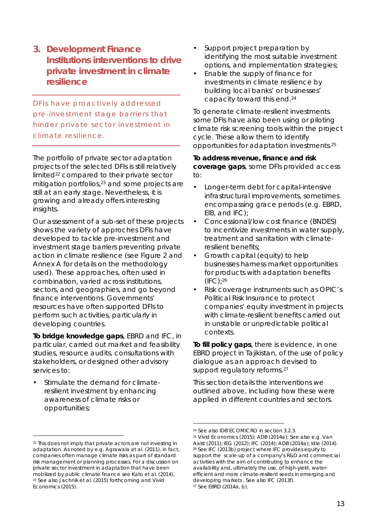**3. Development Finance Institutions interventions to drive private investment in climate resilience**

*DFIs have proactively addressed pre-investment stage barriers that hinder private sector investment in climate resilience.* 

The portfolio of private sector adaptation projects of the selected DFIs is still relatively limited<sup>22</sup> compared to their private sector mitigation portfolios, <sup>23</sup> and some projects are still at an early stage. Nevertheless, it is growing and already offers interesting insights.

Our assessment of a sub-set of these projects shows the variety of approches DFIs have developed to tackle pre-investment and investment stage barriers preventing private action in climate resilience (see Figure 2 and Annex A for details on the methodology used). These approaches, often used in combination, varied across institutions, sectors, and geographies, and go beyond finance interventions. Governments' resources have often supported DFIs to perform such activities, particularly in developing countries.

**To bridge knowledge gaps**, EBRD and IFC, in particular, carried out market and feasibility studies, resource audits, consultations with stakeholders, or designed other advisory services to:

• Stimulate the demand for climateresilient investment by enhancing awareness of climate risks or opportunities;

- Support project preparation by identifying the most suitable investment options, and implementation strategies;
- Enable the supply of finance for investments in climate resilience by building local banks' or businesses' capacity toward this end. 24

To generate climate-resilient investments some DFIs have also been using or piloting climate risk screening tools within the project cycle. These allow them to identify opportunities for adaptation investments. 25

**To address revenue, finance and risk coverage gaps**, some DFIs provided access to:

- Longer-term debt for capital-intensive infrastructural improvements, sometimes encompassing grace periods (e.g. EBRD, EIB, and IFC);
- Concessional/low cost finance (BNDES) to incentivize investments in water supply, treatment and sanitation with climateresilient benefits;
- Growth capital (equity) to help businesses harness market opportunities for products with adaptation benefits (IFC); 26
- Risk coverage instruments such as OPIC's Political Risk Insurance to protect companies' equity investment in projects with climate-resilient benefits carried out in unstable or unpredictable political contexts.

**To fill policy gaps**, there is evidence, in one EBRD project in Tajikistan, of the use of policy dialogue as an approach devised to support regulatory reforms.<sup>27</sup>

This section details the interventions we outlined above, including how these were applied in different countries and sectors.

<sup>&</sup>lt;sup>22</sup> This does not imply that private actors are not investing in adaptation. As noted by e.g. Agrawala et al. (2011), in fact, companies often manage climate risks as part of standard risk management or planning processes. For a discussion on private sector investment in adaptation that have been mobilized by public climate finance see Kato et al. (2014), <sup>23</sup> See also Jachnik et al. (2015) forthcoming and Vivid Economics (2015).

 <sup>24</sup> See also IDB'ECOMICRO in section 3.2.3.

<sup>25</sup> Vivid Economics (2015); ADB (2014a); See also e.g. Van Aalst (2011); IEG (2012); IFC (2014); ADB (2014a); Idle (2014). <sup>26</sup> See IFC (2013b) project where IFC provides equity to support the scale-up of a company's R&D and commercial activities with the aim of contributing to enhance the availability and, ultimately the use, of high-yield, waterefficient and more climate-resilient seeds in emerging and developing markets . See also IFC (2013f). <sup>27</sup> See EBRD (2014a, b).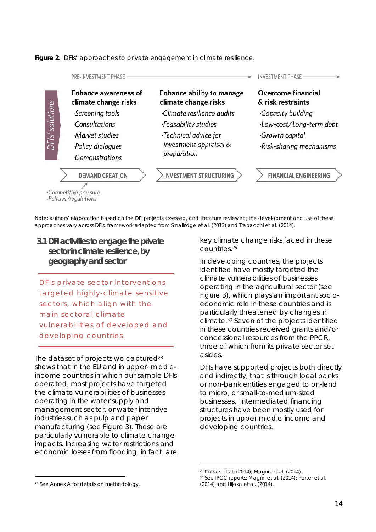*Figure 2. DFIs' approaches to private engagement in climate resilience.*



*Note: authors' elaboration based on the DFI projects assessed, and literature reviewed; the development and use of these approaches vary across DFIs; framework adapted from Smallridge et al. (2013) and Trabacchi et al. (2014).*

**3.1 DFI activities to engage the private sectorin climate resilience, by geography and sector** 

*DFIs private sector interventions targeted highly-climate sensitive sectors, which align with the main sectoral climate vulnerabilities of developed and developing countries.*

The dataset of projects we captured<sup>28</sup> shows that in the EU and in upper- middleincome countries in which our sample DFIs operated, most projects have targeted the climate vulnerabilities of businesses operating in the water supply and management sector, or water-intensive industries such as pulp and paper manufacturing (see Figure 3). These are particularly vulnerable to climate change impacts. Increasing water restrictions and economic losses from flooding, in fact, are key climate change risks faced in these countries.29

In developing countries, the projects identified have mostly targeted the climate vulnerabilities of businesses operating in the agricultural sector (see Figure 3), which plays an important socioeconomic role in these countries and is particularly threatened by changes in climate.30 Seven of the projects identified in these countries received grants and/or concessional resources from the PPCR, three of which from its private sector set asides.

DFIs have supported projects both directly and indirectly, that is through local banks or non-bank entities engaged to on-lend to micro, or small-to-medium-sized businesses. Intermediated financing structures have been mostly used for projects in upper-middle-income and developing countries.

 <sup>29</sup> Kovats et al. (2014); Magrin et al. (2014).

<sup>30</sup> See IPCC reports: Magrin et al. (2014); Porter et al. (2014) and Hijoka et al. (2014).

 <sup>28</sup> See Annex A for details on methodology.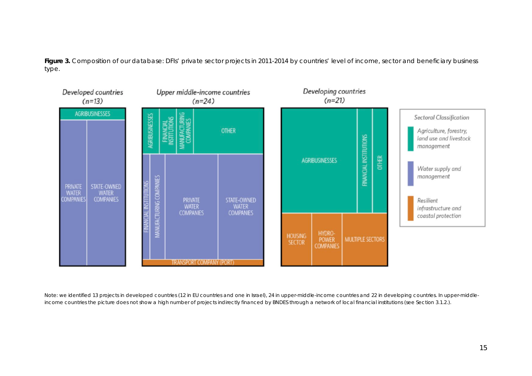*Figure 3. Composition of our database: DFIs' private sector projects in 2011-2014 by countries' level of income, sector and beneficiary business type.*



*Note: we identified 13 projects in developed countries (12 in EU countries and one in Israel), 24 in upper-middle-income countries and 22 in developing countries. In upper-middleincome countries the picture does not show a high number of projects indirectly financed by BNDES through a network of local financial institutions (see Section 3.1.2.).*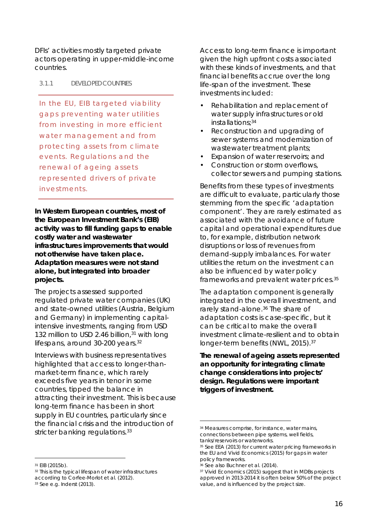DFIs' activities mostly targeted private actors operating in upper-middle-income countries.

#### 3.1.1 DEVELOPEDCOUNTRIES

*In the EU, EIB targeted viability gaps preventing water utilities from investing in more efficient water management and from protecting assets from climate events. Regulations and the renewal of ageing assets represented drivers of private investments.*

**In Western European countries, most of the European Investment Bank's (EIB) activity was to fill funding gaps to enable costly water and wastewater infrastructures improvements that would not otherwise have taken place. Adaptation measures were not stand alone, but integrated into broader projects.** 

The projects assessed supported regulated private water companies (UK) and state-owned utilities (Austria, Belgium and Germany) in implementing capitalintensive investments, ranging from USD 132 million to USD 2.46 billion,<sup>31</sup> with long lifespans, around 30-200 years.<sup>32</sup>

Interviews with business representatives highlighted that access to longer-thanmarket-term finance, which rarely exceeds five years in tenor in some countries, tipped the balance in attracting their investment. This is because long-term finance has been in short supply in EU countries, particularly since the financial crisis and the introduction of stricter banking regulations.<sup>33</sup>

Access to long-term finance is important given the high upfront costs associated with these kinds of investments, and that financial benefits accrue over the long life-span of the investment. These investments included:

- Rehabilitation and replacement of water supply infrastructures or old installations; 34
- Reconstruction and upgrading of sewer systems and modernization of wastewater treatment plants;
- Expansion of water reservoirs; and
- Construction or storm overflows, collector sewers and pumping stations.

Benefits from these types of investments are difficult to evaluate, particularly those stemming from the specific 'adaptation component'. They are rarely estimated as associated with the avoidance of future capital and operational expenditures due to, for example, distribution network disruptions or loss of revenues from demand-supply imbalances. For water utilities the return on the investment can also be influenced by water policy frameworks and prevalent water prices.35

The adaptation component is generally integrated in the overall investment, and rarely stand-alone. <sup>36</sup> The share of adaptation costs is case-specific, but it can be critical to make the overall investment climate-resilient and to obtain longer-term benefits (NWL, 2015).37

**The renewal of ageing assets represented an opportunity for integrating climate change considerations into projects' design. Regulations were important triggers of investment.**

<sup>36</sup> See also Buchner et al. (2014).

 <sup>31</sup> EIB (2015b).

<sup>&</sup>lt;sup>32</sup> This is the typical lifespan of water infrastructures according to Corfee-Morlot et al. (2012).

<sup>33</sup> See e.g. Inderst (2013).

 <sup>34</sup> Measures comprise, for instance, water mains, connections between pipe systems, well fields, tanks/reservoirs or waterworks.

<sup>35</sup> See EEA (2013) for current water pricing frameworks in the EU and Vivid Economics (2015) for gaps in water policy frameworks.

<sup>&</sup>lt;sup>37</sup> Vivid Economics (2015) suggest that in MDBs projects approved in 2013-2014 it is often below 50% of the project value, and is influenced by the project size.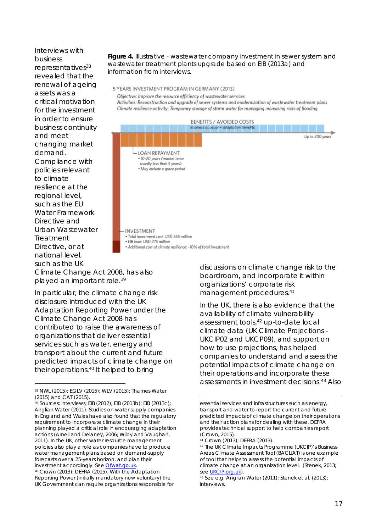Interviews with business representatives<sup>38</sup> revealed that the renewal of ageing assets was a critical motivation for the investment in order to ensure business continuity and meet changing market demand. Compliance with policies relevant to climate resilience at the regional level, such as the EU Water Framework Directive and Urban Wastewater Treatment Directive, or at national level, such as the UK

*Figure 4. Illustrative - wastewater company investment in sewer system and wastewater treatment plants upgrade based on EIB (2013a) and information from interviews.* 

5 YEARS INVESTMENT PROGRAM IN GERMANY (2013)

Objective: Improve the resource efficiency of wastewater services

Activities: Reconstruction and upgrade of sewer systems and modernization of wastewater treatment plans Climate resilience activity: Temporary storage of storm water for managing increasing risks of flooding



Climate Change Act 2008, has also played an important role.39

In particular, the climate change risk disclosure introduced with the UK Adaptation Reporting Power under the Climate Change Act 2008 has contributed to raise the awareness of organizations that deliver essential services such as water, energy and transport about the current and future predicted impacts of climate change on their operations. <sup>40</sup> It helped to bring

discussions on climate change risk to the boardroom, and incorporate it within organizations' corporate risk management procedures. 41

In the UK, there is also evidence that the availability of climate vulnerability assessment tools, <sup>42</sup> up-to-date local climate data (UK Climate Projections - UKCIP02 and UKCP09), and support on how to use projections, has helped companies to understand and assess the potential impacts of climate change on their operations and incorporate these assessments in investment decisions. <sup>43</sup> Also

1

 <sup>38</sup> NWL (2015); EGLV (2015); WLV (2015); Thames Water (2015) and CAT (2015).

<sup>39</sup> Sources: interviews; EIB (2012); EIB (2013b); EIB (2013c); Anglian Water (2011). Studies on water supply companies in England and Wales have also found that the regulatory requirement to incorporate climate change in their planning played a critical role in encouraging adaptation actions (Arnell and Delaney, 2006; Wilby and Vaughan, 2011). In the UK, other water resource management policies also play a role as companies have to produce water management plans based on demand-supply forecasts over a 25-years horizon, and plan their investment accordingly. See **Ofwat.go.uk.** 

<sup>40</sup> Crown (2013); DEFRA (2015). With the Adaptation Reporting Power (initially mandatory now voluntary) the UK Government can require organizations responsible for

essential services and infrastructures such as energy, transport and water to report the current and future predicted impacts of climate change on their operations and their action plans for dealing with these. DEFRA provides technical support to help companies report (Crown, 2015).

<sup>41</sup> Crown (2013); DEFRA (2013).

<sup>42</sup> The UK Climate Impacts Programme (UKCIP)'s Business Areas Climate Assessment Tool (BACLIAT) is one example of tool that helps to assess the potential impacts of climate change at an organization level. (Stenek, 2013; see <u>UKCIP.org.uk</u>).<br><sup>43</sup> See e.g. Anglian Water (2011); Stenek et al. (2013);

interviews.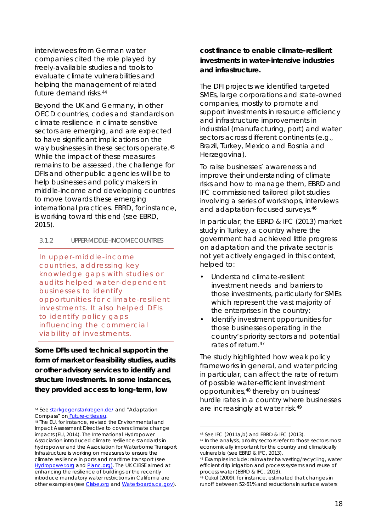interviewees from German water companies cited the role played by freely-available studies and tools to evaluate climate vulnerabilities and helping the management of related future demand risks.44

Beyond the UK and Germany, in other OECD countries, codes and standards on climate resilience in climate sensitive sectors are emerging, and are expected to have significant implications on the way businesses in these sectors operate.<sup>45</sup> While the impact of these measures remains to be assessed, the challenge for DFIs and other public agencies will be to help businesses and policy makers in middle-income and developing countries to move towards these emerging international practices. EBRD, for instance, is working toward this end (see EBRD, 2015).

#### 3.1.2 UPPER-MIDDLE –INCOME COUNTRIES

*In upper-middle-income countries, addressing key knowledge gaps with studies or audits helped water-dependent businesses to identify opportunities for climate-resilient investments. It also helped DFIs to identify policy gaps influencing the commercial viability of investments.*

**Some DFIs used technical support in the form of market or feasibility studies, audits or other advisory services to identify and structure investments. In some instances, they provided access to long-term, low** 

**cost finance to enable climate-resilient investments in water-intensive industries and infrastructure.**

The DFI projects we identified targeted SMEs, large corporations and state-owned companies, mostly to promote and support investments in resource efficiency and infrastructure improvements in industrial (manufacturing, port) and water sectors across different continents (e.g., Brazil, Turkey, Mexico and Bosnia and Herzegovina).

To raise businesses' awareness and improve their understanding of climate risks and how to manage them, EBRD and IFC commissioned tailored pilot studies involving a series of workshops, interviews and adaptation-focused surveys.46

In particular, the EBRD & IFC (2013) market study in Turkey, a country where the government had achieved little progress on adaptation and the private sector is not yet actively engaged in this context, helped to:

- Understand climate-resilient investment needs and barriers to those investments, particularly for SMEs which represent the vast majority of the enterprises in the country;
- Identify investment opportunities for those businesses operating in the country's priority sectors and potential rates of return.47

The study highlighted how weak policy frameworks in general, and water pricing in particular, can affect the rate of return of possible water-efficient investment opportunities, <sup>48</sup> thereby on business' hurdle rates in a country where businesses are increasingly at water risk.<sup>49</sup>

 <sup>44</sup> See starkgegenstarkregen.de/ and "Adaptation Compass" on Future-cities.eu.

<sup>45</sup> The EU, for instance, revised the Environmental and Impact Assessment Directive to covers climate change impacts (EU, 2014). The International Hydropower Association introduced climate resilience standards in hydropower and the Association for Waterborne Transport Infrastructure is working on measures to ensure the climate resilience in ports and maritime transport (see Hydropower.org and Pianc.org). The UK CIBSE aimed at enhancing the resilience of buildings or the recently introduce mandatory water restrictions in California are other examples (see Cisbe.org and Waterboards.ca.gov).

 <sup>46</sup> See IFC (2011a,b) and EBRD & IFC (2013).

<sup>47</sup> In the analysis, priority sectors refer to those sectors most economically important for the country and climatically vulnerable (see EBRD & IFC, 2013).

<sup>48</sup> Examples include: rainwater harvesting/recycling, water efficient drip irrigation and process systems and reuse of process water (EBRD & IFC, 2013).

<sup>49</sup> Ozkul (2009), for instance, estimated that changes in runoff between 52-61% and reductions in surface waters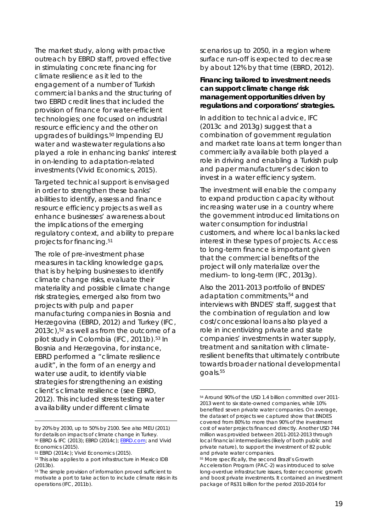The market study, along with proactive outreach by EBRD staff, proved effective in stimulating concrete financing for climate resilience as it led to the engagement of a number of Turkish commercial banks and the structuring of two EBRD credit lines that included the provision of finance for water-efficient technologies; one focused on industrial resource efficiency and the other on upgrades of buildings.<sup>50</sup> Impending EU water and wastewater regulations also played a role in enhancing banks' interest in on-lending to adaptation-related investments (Vivid Economics, 2015).

Targeted technical support is envisaged in order to strengthen these banks' abilities to identify, assess and finance resource efficiency projects as well as enhance businesses' awareness about the implications of the emerging regulatory context, and ability to prepare projects for financing. 51

The role of pre-investment phase measures in tackling knowledge gaps, that is by helping businesses to identify climate change risks, evaluate their materiality and possible climate change risk strategies, emerged also from two projects with pulp and paper manufacturing companies in Bosnia and Herzegovina (EBRD, 2012) and Turkey (IFC, 2013c), <sup>52</sup> as well as from the outcome of a pilot study in Colombia (IFC, 2011b).53 In Bosnia and Herzegovina, for instance, EBRD performed a "climate resilience audit", in the form of an energy and water use audit, to identify viable strategies for strengthening an existing client's climate resilience (see EBRD, 2012). This included stress testing water availability under different climate

1

scenarios up to 2050, in a region where surface run-off is expected to decrease by about 12% by that time (EBRD, 2012).

**Financing tailored to investment needs can support climate change risk management opportunities driven by regulations and corporations' strategies.**

In addition to technical advice, IFC (2013c and 2013g) suggest that a combination of government regulation and market rate loans at term longer than commercially available both played a role in driving and enabling a Turkish pulp and paper manufacturer's decision to invest in a water efficiency system.

The investment will enable the company to expand production capacity without increasing water use in a country where the government introduced limitations on water consumption for industrial customers, and where local banks lacked interest in these types of projects. Access to long-term finance is important given that the commercial benefits of the project will only materialize over the medium- to long-term (IFC, 2013g).

Also the 2011-2013 portfolio of BNDES' adaptation commitments, <sup>54</sup> and interviews with BNDES' staff, suggest that the combination of regulation and low cost/concessional loans also played a role in incentivizing private and state companies' investments in water supply, treatment and sanitation with climateresilient benefits that ultimately contribute towards broader national developmental goals. 55

by 20% by 2030, up to 50% by 2100. See also MEU (2011) for details on impacts of climate change in Turkey. <sup>50</sup> EBRD & IFC (2013); EBRD (2014c); EBRD.com; and Vivid Economics (2015).

<sup>51</sup> EBRD (2014c); Vivid Economics (2015).

<sup>52</sup> This also applies to a port infrastructure in Mexico IDB (2013b).

<sup>&</sup>lt;sup>53</sup> The simple provision of information proved sufficient to motivate a port to take action to include climate risks in its operations (IFC, 2011b).

 <sup>54</sup> Around 90% of the USD 1.4 billion committed over 2011- 2013 went to six state-owned companies, while 10% benefited seven private water companies. On average, the dataset of projects we captured show that BNDES covered from 80% to more than 90% of the investment cost of water projects financed directly. Another USD 744 million was provided between 2011-2012-2013 through local financial intermediaries (likely of both public and private nature), to support the investment of 82 public and private water companies.

<sup>55</sup> More specifically, the second Brazil's Growth Acceleration Program (PAC-2) was introduced to solve long-overdue infrastructure issues, foster economic growth and boost private investments. It contained an investment package of R\$31 billion for the period 2010-2014 for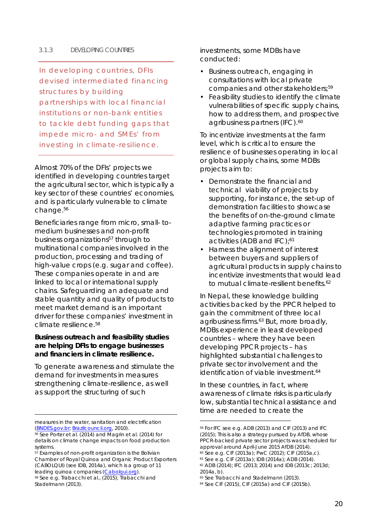#### 3.1.3 DEVELOPING COUNTRIES

*In developing countries, DFIs devised intermediated financing structures by building partnerships with local financial institutions or non-bank entities to tackle debt funding gaps that impede micro- and SMEs' from investing in climate-resilience.* 

Almost 70% of the DFIs' projects we identified in developing countries target the agricultural sector, which is typically a key sector of these countries' economies, and is particularly vulnerable to climate change.56

Beneficiaries range from micro, small- tomedium businesses and non-profit business organizations<sup>57</sup> through to multinational companies involved in the production, processing and trading of high-value crops (e.g. sugar and coffee). These companies operate in and are linked to local or international supply chains. Safeguarding an adequate and stable quantity and quality of products to meet market demand is an important driver for these companies' investment in climate resilience. 58

**Business outreach and feasibility studies are helping DFIs to engage businesses and financiers in climate resilience.** 

To generate awareness and stimulate the demand for investments in measures strengthening climate-resilience, as well as support the structuring of such

1

investments, some MDBs have conducted:

- Business outreach, engaging in consultations with local private companies and other stakeholders;59
- Feasibility studies to identify the climate vulnerabilities of specific supply chains, how to address them, and prospective agribusiness partners (IFC).<sup>60</sup>

To incentivize investments at the farm level, which is critical to ensure the resilience of businesses operating in local or global supply chains, some MDBs projects aim to:

- Demonstrate the financial and technical viability of projects by supporting, for instance, the set-up of demonstration facilities to showcase the benefits of on-the-ground climate adaptive farming practices or technologies promoted in training activities (ADB and IFC); 61
- Harness the alignment of interest between buyers and suppliers of agricultural products in supply chains to incentivize investments that would lead to mutual climate-resilient benefits.<sup>62</sup>

In Nepal, these knowledge building activities backed by the PPCR helped to gain the commitment of three local agribusiness firms.63 But, more broadly, MDBs experience in least developed countries – where they have been developing PPCR projects – has highlighted substantial challenges to private sector involvement and the identification of viable investment.<sup>64</sup>

In these countries, in fact, where awareness of climate risks is particularly low, substantial technical assistance and time are needed to create the

measures in the water, sanitation and electrification (BNDES.gov.br; Brazilcouncil.org, 2010).

<sup>&</sup>lt;sup>56</sup> See Porter et al. (2014) and Magrin et al. (2014) for details on climate change impacts on food production systems.

 $57$  Examples of non-profit organization is the Bolivian Chamber of Royal Quinoa and Organic Product Exporters (CABOLQUI) (see IDB, 2014a), which is a group of 11 leading quinoa companies (Cabolqui.org).

<sup>58</sup> See e.g. Trabacchi et al., (2015); Trabacchi and Stadelmann (2013).

 <sup>59</sup> For IFC see e.g. ADB (2013) and CIF (2013) and IFC (2015); This is also a strategy pursued by AfDB, whose PPCR-backed private sector projects was scheduled for approval around April-June 2015 AfDB (2014). <sup>60</sup> See e.g. CIF (2013a); PwC (2012); CIF (2015a,c).

<sup>61</sup> See e.g. CIF (2013a); IDB (2014a); ADB (2014).

<sup>62</sup> ADB (2014); IFC (2013; 2014) and IDB (2013c; 2013d; 2014a, b).

<sup>63</sup> See Trabacchi and Stadelmann (2013).

<sup>64</sup> See CIF (2015), CIF (2015a) and CIF (2015b).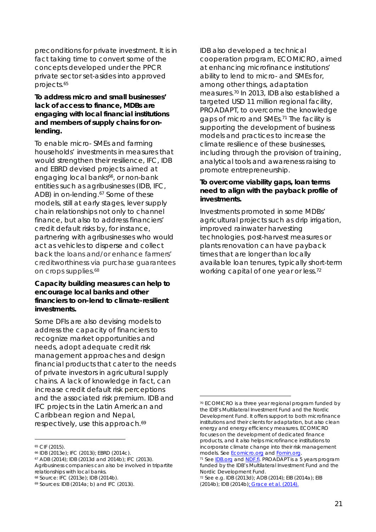preconditions for private investment. It is in fact taking time to convert some of the concepts developed under the PPCR private sector set-asides into approved projects.65

**To address micro and small businesses' lack of access to finance, MDBs are engaging with local financial institutions and members of supply chains for onlending.** 

To enable micro- SMEs and farming households' investments in measures that would strengthen their resilience, IFC, IDB and EBRD devised projects aimed at engaging local banks<sup>66</sup>, or non-bank entities such as agribusinesses (IDB, IFC, ADB) in on-lending.<sup>67</sup> Some of these models, still at early stages, lever supply chain relationships not only to channel finance, but also to address financiers' credit default risks by, for instance, partnering with agribusinesses who would act as vehicles to disperse and collect back the loans and/or enhance farmers' creditworthiness via purchase guarantees on crops supplies.<sup>68</sup>

**Capacity building measures can help to encourage local banks and other financiers to on-lend to climate-resilient investments.**

Some DFIs are also devising models to address the capacity of financiers to recognize market opportunities and needs, adopt adequate credit risk management approaches and design financial products that cater to the needs of private investors in agricultural supply chains. A lack of knowledge in fact, can increase credit default risk perceptions and the associated risk premium. IDB and IFC projects in the Latin American and Caribbean region and Nepal, respectively, use this approach.<sup>69</sup>

IDB also developed a technical cooperation program, ECOMICRO, aimed at enhancing microfinance institutions' ability to lend to micro- and SMEs for, among other things, adaptation measures.70 In 2013, IDB also established a targeted USD 11 million regional facility, PROADAPT, to overcome the knowledge gaps of micro and SMEs.71 The facility is supporting the development of business models and practices to increase the climate resilience of these businesses, including through the provision of training, analytical tools and awareness raising to promote entrepreneurship.

**To overcome viability gaps, loan terms need to align with the payback profile of investments.** 

Investments promoted in some MDBs' agricultural projects such as drip irrigation, improved rainwater harvesting technologies, post-harvest measures or plants renovation can have payback times that are longer than locally available loan tenures, typically short-term working capital of one year or less.<sup>72</sup>

 <sup>65</sup> CIF (2015).

<sup>66</sup> IDB (2013e); IFC (2013i); EBRD (2014c).

<sup>67</sup> ADB (2014); IDB (2013d and 2014b); IFC (2013i). Agribusiness companies can also be involved in tripartite relationships with local banks.

<sup>68</sup> Source: IFC (2013e); IDB (2014b).

<sup>69</sup> Sources: IDB (2014a; b) and IFC (2013i).

 <sup>70</sup> ECOMICRO is a three year regional program funded by the IDB's Multilateral Investment Fund and the Nordic Development Fund. It offers support to both microfinance institutions and their clients for adaptation, but also clean energy and energy efficiency measures. ECOMICRO focuses on the development of dedicated finance products, and it also helps microfinance institutions to incorporate climate change into their risk management models. See Ecomicro.org and Fomin.org.

<sup>71</sup> See IDB.org and NDF.fi. PROADAPT is a 5 years program funded by the IDB's Multilateral Investment Fund and the Nordic Development Fund.

<sup>72</sup> See e.g. IDB (2013d); ADB (2014); EIB (2014a); EIB (2014b); IDB (2014b); Grace et al. (2014).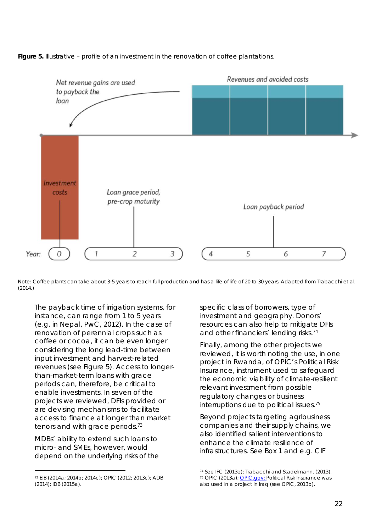

*Figure 5. Illustrative – profile of an investment in the renovation of coffee plantations.* 

Note: *Coffee plants can take about 3-5 years to reach full production and has a life of life of 20 to 30 years. Adapted from Trabacchi et al. (2014.)*

The payback time of irrigation systems, for instance, can range from 1 to 5 years (e.g. in Nepal, PwC, 2012). In the case of renovation of perennial crops such as coffee or cocoa, it can be even longer considering the long lead-time between input investment and harvest-related revenues (see Figure 5). Access to longerthan-market-term loans with grace periods can, therefore, be critical to enable investments. In seven of the projects we reviewed, DFIs provided or are devising mechanisms to facilitate access to finance at longer than market tenors and with grace periods.<sup>73</sup>

MDBs' ability to extend such loans to micro- and SMEs, however, would depend on the underlying risks of the specific class of borrowers, type of investment and geography. Donors' resources can also help to mitigate DFIs and other financiers' lending risks. 74

Finally, among the other projects we reviewed, it is worth noting the use, in one project in Rwanda, of OPIC's Political Risk Insurance, instrument used to safeguard the economic viability of climate-resilient relevant investment from possible regulatory changes or business interruptions due to political issues.75

Beyond projects targeting agribusiness companies and their supply chains, we also identified salient interventions to enhance the climate resilience of infrastructures. See Box 1 and e.g. CIF

 <sup>73</sup> EIB (2014a; 2014b; 2014c); OPIC (2012; 2013c); ADB (2014); IDB (2015a).

 <sup>74</sup> See IFC (2013e); Trabacchi and Stadelmann, (2013). <sup>75</sup> OPIC (2013a); OPIC.gov; Political Risk Insurance was also used in a project in Iraq (see OPIC, 2013b).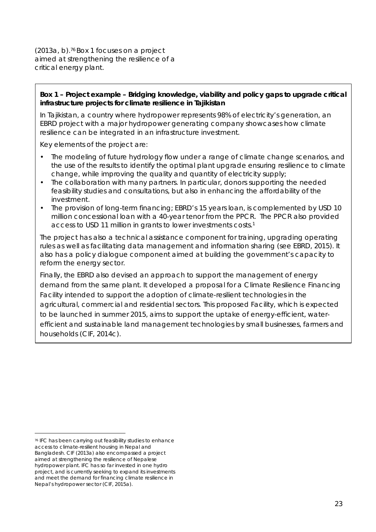(2013a, b).76 Box 1 focuses on a project aimed at strengthening the resilience of a critical energy plant.

**Box 1 – Project example – Bridging knowledge, viability and policy gaps to upgrade critical infrastructure projects for climate resilience in Tajikistan**

In Tajikistan, a country where hydropower represents 98% of electricity's generation, an EBRD project with a major hydropower generating company showcases how climate resilience can be integrated in an infrastructure investment.

Key elements of the project are:

- The modeling of future hydrology flow under a range of climate change scenarios, and the use of the results to identify the optimal plant upgrade ensuring resilience to climate change, while improving the quality and quantity of electricity supply;
- The collaboration with many partners. In particular, donors supporting the needed feasibility studies and consultations, but also in enhancing the affordability of the investment.
- The provision of long-term financing; EBRD's 15 years loan, is complemented by USD 10 million concessional loan with a 40-year tenor from the PPCR. The PPCR also provided access to USD 11 million in grants to lower investments costs.1

The project has also a technical assistance component for training, upgrading operating rules as well as facilitating data management and information sharing (see EBRD, 2015). It also has a policy dialogue component aimed at building the government's capacity to reform the energy sector.

Finally, the EBRD also devised an approach to support the management of energy demand from the same plant. It developed a proposal for a Climate Resilience Financing Facility intended to support the adoption of climate-resilient technologies in the agricultural, commercial and residential sectors. This proposed Facility, which is expected to be launched in summer 2015, aims to support the uptake of energy-efficient, waterefficient and sustainable land management technologies by small businesses, farmers and households (CIF, 2014c).

 <sup>76</sup> IFC has been carrying out feasibility studies to enhance access to climate-resilient housing in Nepal and Bangladesh. CIF (2013a) also encompassed a project aimed at strengthening the resilience of Nepalese hydropower plant. IFC has so far invested in one hydro project, and is currently seeking to expand its investments and meet the demand for financing climate resilience in Nepal's hydropower sector (CIF, 2015a).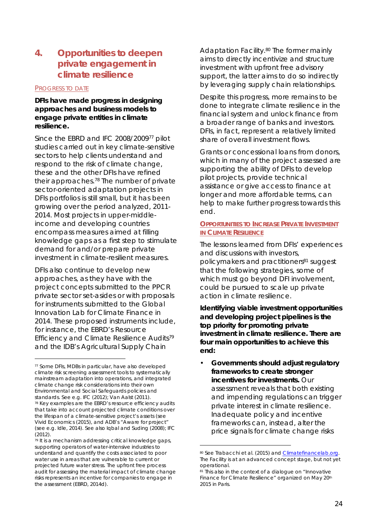# **4. Opportunities to deepen private engagement in climate resilience**

#### PROGRESS TO DATE

**DFIs have made progress in designing approaches and business models to engage private entities in climate resilience.** 

Since the EBRD and IFC 2008/200977 pilot studies carried out in key climate-sensitive sectors to help clients understand and respond to the risk of climate change, these and the other DFIs have refined their approaches.78 The number of private sector-oriented adaptation projects in DFIs portfolios is still small, but it has been growing over the period analyzed, 2011- 2014. Most projects in upper-middleincome and developing countries encompass measures aimed at filling knowledge gaps as a first step to stimulate demand for and/or prepare private investment in climate-resilient measures.

DFIs also continue to develop new approaches, as they have with the project concepts submitted to the PPCR private sector set-asides or with proposals for instruments submitted to the *Global Innovation Lab for Climate Finance in 2014*. These proposed instruments include, for instance, the EBRD's *Resource Efficiency and Climate Resilience Audits79* and the IDB's *Agricultural Supply Chain* 

 $(2012)$ 

*Adaptation Facility.80* The former mainly aims to directly incentivize and structure investment with upfront free advisory support, the latter aims to do so indirectly by leveraging supply chain relationships.

Despite this progress, more remains to be done to integrate climate resilience in the financial system and unlock finance from a broader range of banks and investors. DFIs, in fact, represent a relatively limited share of overall investment flows.

Grants or concessional loans from donors, which in many of the project assessed are supporting the ability of DFIs to develop pilot projects, provide technical assistance or give access to finance at longer and more affordable terms, can help to make further progress towards this end.

#### **OPPORTUNITIES TO INCREASE PRIVATE INVESTMENT IN CLIMATE RESILIENCE**

The lessons learned from DFIs' experiences and discussions with investors, policymakers and practitioners<sup>81</sup> suggest that the following strategies, some of which must go beyond DFI involvement, could be pursued to scale up private action in climate resilience.

**Identifying viable investment opportunities and developing project pipelines is the top priority for promoting private investment in climate resilience. There are four main opportunities to achieve this end:**

• **Governments should adjust regulatory frameworks to create stronger incentives for investments.** Our assessment reveals that both existing and impending regulations can trigger private interest in climate resilience. Inadequate policy and incentive frameworks can, instead, alter the price signals for climate change risks

 <sup>77</sup> Some DFIs, MDBs in particular, have also developed climate risk screening assessment tools to systematically mainstream adaptation into operations, and integrated climate change risk considerations into their own Environmental and Social Safeguards policies and standards. See e.g. IFC (2012); Van Aalst (2011). <sup>78</sup> Key examples are the EBRD's resource efficiency audits that take into account projected climate conditions over the lifespan of a climate-sensitive project's assets (see Vivid Economics (2015), and ADB's "Aware for project" (see e.g. Idle, 2014). See also Iqbal and Suding (2008); IFC

<sup>79</sup> It is a mechanism addressing critical knowledge gaps, supporting operators of water-intensive industries to understand and quantify the costs associated to poor water use in areas that are vulnerable to current or projected future water stress. The upfront free process audit for assessing the material impact of climate change risks represents an incentive for companies to engage in the assessment (EBRD, 2014d).

<sup>80</sup> See Trabacchi et al. (2015) and Climatefinancelab.org. The Facility is at an advanced concept stage, but not yet operational.

<sup>81</sup> This also in the context of a dialogue on "Innovative Finance for Climate Resilience" organized on May 20th 2015 in Paris.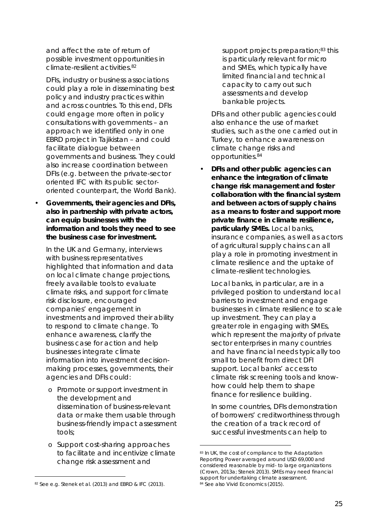and affect the rate of return of possible investment opportunities in climate-resilient activities 82

DFIs, industry or business associations could play a role in disseminating best policy and industry practices within and across countries. To this end, DFIs could engage more often in policy consultations with governments – an approach we identified only in one EBRD project in Tajikistan – and could facilitate dialogue between governments and business. They could also increase coordination between DFIs (e.g. between the private-sector oriented IFC with its public sectororiented counterpart, the World Bank).

• **Governments, their agencies and DFIs, also in partnership with private actors, can equip businesses with the information and tools they need to see the business case for investment.**

In the UK and Germany, interviews with business representatives highlighted that information and data on local climate change projections, freely available tools to evaluate climate risks, and support for climate risk disclosure, encouraged companies' engagement in investments and improved their ability to respond to climate change. To enhance awareness, clarify the business case for action and help businesses integrate climate information into investment decisionmaking processes, governments, their agencies and DFIs could:

- o Promote or support investment in the development and dissemination of business-relevant data or make them usable through business-friendly impact assessment tools;
- o Support cost-sharing approaches to facilitate and incentivize climate change risk assessment and

support projects preparation;<sup>83</sup> this is particularly relevant for micro and SMEs, which typically have limited financial and technical capacity to carry out such assessments and develop bankable projects.

DFIs and other public agencies could also enhance the use of market studies, such as the one carried out in Turkey, to enhance awareness on climate change risks and opportunities.84

• **DFIs and other public agencies can enhance the integration of climate change risk management and foster collaboration with the financial system and between actors of supply chains as a means to foster and support more private finance in climate resilience, particularly SMEs.** Local banks, insurance companies, as well as actors of agricultural supply chains can all play a role in promoting investment in climate resilience and the uptake of climate-resilient technologies.

Local banks, in particular, are in a privileged position to understand local barriers to investment and engage businesses in climate resilience to scale up investment. They can play a greater role in engaging with SMEs, which represent the majority of private sector enterprises in many countries and have financial needs typically too small to benefit from direct DFI support. Local banks' access to climate risk screening tools and knowhow could help them to shape finance for resilience building.

In some countries, DFIs demonstration of borrowers' creditworthiness through the creation of a track record of successful investments can help to

<sup>82</sup> See e.g. Stenek et al. (2013) and EBRD & IFC (2013).

<sup>83</sup> In UK, the cost of compliance to the Adaptation Reporting Power averaged around USD 69,000 and considered reasonable by mid- to large organizations (Crown, 2013a; Stenek 2013). SMEs may need financial support for undertaking climate assessment. 84 See also Vivid Economics (2015).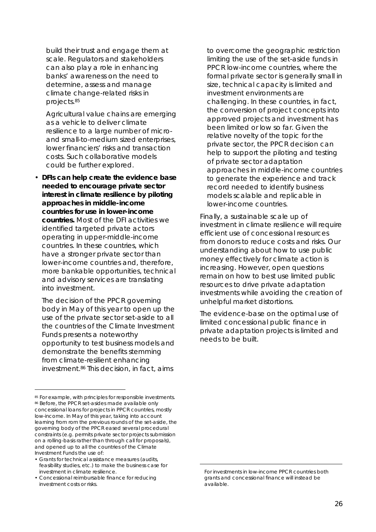build their trust and engage them at scale. Regulators and stakeholders can also play a role in enhancing banks' awareness on the need to determine, assess and manage climate change-related risks in projects.85

Agricultural value chains are emerging as a vehicle to deliver climate resilience to a large number of microand small-to-medium sized enterprises, lower financiers' risks and transaction costs. Such collaborative models could be further explored.

• **DFIs can help create the evidence base needed to encourage private sector interest in climate resilience by piloting approaches in middle-income countries for use in lower-income countries.** Most of the DFI activities we identified targeted private actors operating in upper-middle-income countries. In these countries, which have a stronger private sector than lower-income countries and, therefore, more bankable opportunities, technical and advisory services are translating into investment.

The decision of the PPCR governing body in May of this year to open up the use of the private sector set-aside to all the countries of the Climate Investment Funds presents a noteworthy opportunity to test business models and demonstrate the benefits stemming from climate-resilient enhancing investment. <sup>86</sup> This decision, in fact, aims

to overcome the geographic restriction limiting the use of the set-aside funds in PPCR low-income countries, where the formal private sector is generally small in size, technical capacity is limited and investment environments are challenging. In these countries, in fact, the conversion of project concepts into approved projects and investment has been limited or low so far. Given the relative novelty of the topic for the private sector, the PPCR decision can help to support the piloting and testing of private sector adaptation approaches in middle-income countries to generate the experience and track record needed to identify business models scalable and replicable in lower-income countries.

Finally, a sustainable scale up of investment in climate resilience will require efficient use of concessional resources from donors to reduce costs and risks. Our understanding about how to use public money effectively for climate action is increasing. However, open questions remain on how to best use limited public resources to drive private adaptation investments while avoiding the creation of unhelpful market distortions.

The evidence-base on the optimal use of limited concessional public finance in private adaptation projects is limited and needs to be built.

1

<sup>85</sup> For example, with principles for responsible investments. 86 Before, the PPCR set-asides made available only concessional loans for projects in PPCR countries, mostly low-income. In May of this year, taking into account learning from rom the previous rounds of the set-aside, the governing body of the PPCR eased several procedural constraints (e.g. permits private sector projects submission on a rolling-basis rather than through call for proposals), and opened up to all the countries of the Climate Investment Funds the use of:

<sup>•</sup> Grants for technical assistance measures (audits, feasibility studies, etc.) to make the business case for investment in climate resilience.

<sup>•</sup> Concessional reimbursable finance for reducing investment costs or risks.

For investments in low-income PPCR countries both grants and concessional finance will instead be available.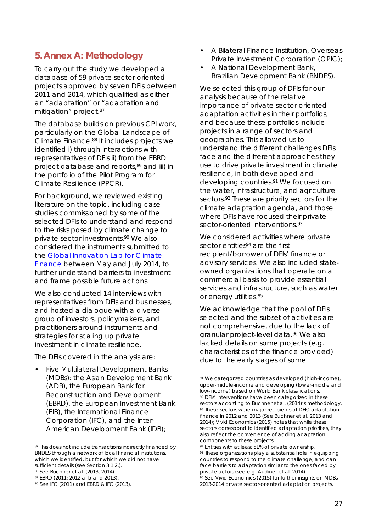# **5. Annex A: Methodology**

To carry out the study we developed a database of 59 private sector-oriented projects approved by seven DFIs between 2011 and 2014, which qualified as either an "adaptation" or "adaptation and mitigation" project.87

The database builds on previous CPI work, particularly on the *Global Landscape of Climate Finance*.88 It includes projects we identified i) through interactions with representatives of DFIs ii) from the EBRD project database and reports,<sup>89</sup> and iii) in the portfolio of the Pilot Program for Climate Resilience (PPCR).

For background, we reviewed existing literature on the topic, including case studies commissioned by some of the selected DFIs to understand and respond to the risks posed by climate change to private sector investments. <sup>90</sup> We also considered the instruments submitted to the *Global Innovation Lab for Climate Finance* between May and July 2014, to further understand barriers to investment and frame possible future actions.

We also conducted 14 interviews with representatives from DFIs and businesses, and hosted a dialogue with a diverse group of investors, policymakers, and practitioners around instruments and strategies for scaling up private investment in climate resilience.

The DFIs covered in the analysis are:

• Five Multilateral Development Banks (MDBs): the Asian Development Bank (ADB), the European Bank for Reconstruction and Development (EBRD), the European Investment Bank (EIB), the International Finance Corporation (IFC), and the Inter-American Development Bank (IDB);

- A Bilateral Finance Institution, Overseas Private Investment Corporation (OPIC);
- A National Development Bank, Brazilian Development Bank (BNDES).

We selected this group of DFIs for our analysis because of the relative importance of private sector-oriented adaptation activities in their portfolios, and because these portfolios include projects in a range of sectors and geographies. This allowed us to understand the different challenges DFIs face and the different approaches they use to drive private investment in climate resilience, in both developed and developing countries.91 We focused on the water, infrastructure, and agriculture sectors.<sup>92</sup> These are priority sectors for the climate adaptation agenda, and those where DFIs have focused their private sector-oriented interventions.<sup>93</sup>

We considered activities where private sector entities<sup>94</sup> are the first recipient/borrower of DFIs' finance or advisory services. We also included stateowned organizations that operate on a commercial basis to provide essential services and infrastructure, such as water or energy utilities.95

We acknowledge that the pool of DFIs selected and the subset of activities are not comprehensive, due to the lack of granular project-level data. <sup>96</sup> We also lacked details on some projects (e.g. characteristics of the finance provided) due to the early stages of some

<sup>87</sup> This does not include transactions indirectly financed by BNDES through a network of local financial institutions, which we identified, but for which we did not have sufficient details (see Section 3.1.2.). 88 See Buchner et al. (2013, 2014).

<sup>89</sup> EBRD (2011; 2012 a, b and 2013).

<sup>90</sup> See IFC (2011) and EBRD & IFC (2013).

<sup>91</sup> We categorized countries as developed (high-income), upper-middle-income and developing (lower-middle and low-income) based on World Bank classifications. 92 DFIs' interventions have been categorized in these sectors according to Buchner et al. (2014)'s methodology. 93 These sectors were major recipients of DFIs' adaptation finance in 2012 and 2013 (See Buchner et al. 2013 and 2014); Vivid Economics (2015) notes that while these sectors correspond to identified adaptation priorities, they also reflect the convenience of adding adaptation components to these projects.

<sup>&</sup>lt;sup>94</sup> Entities with at least 51% of private ownership. 95 These organizations play a substantial role in equipping countries to respond to the climate challenge, and can face barriers to adaptation similar to the ones faced by private actors (see e.g. Audinet et al. 2014). <sup>96</sup> See Vivid Economics (2015) for further insights on MDBs 2013-2014 private sector-oriented adaptation projects.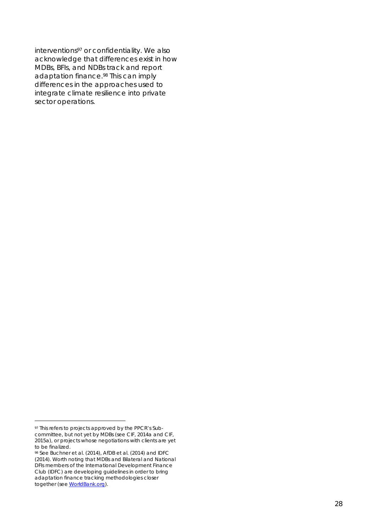interventions<sup>97</sup> or confidentiality. We also acknowledge that differences exist in how MDBs, BFIs, and NDBs track and report adaptation finance.<sup>98</sup> This can imply differences in the approaches used to integrate climate resilience into private sector operations.

 <sup>97</sup> This refers to projects approved by the PPCR's Subcommittee, but not yet by MDBs (see CIF, 2014a and CIF, 2015a), or projects whose negotiations with clients are yet to be finalized.

<sup>98</sup> See Buchner et al. (2014), AfDB et al. (2014) and IDFC (2014). Worth noting that MDBs and Bilateral and National DFIs members of the International Development Finance Club (IDFC) are developing guidelines in order to bring adaptation finance tracking methodologies closer together (see WorldBank.org).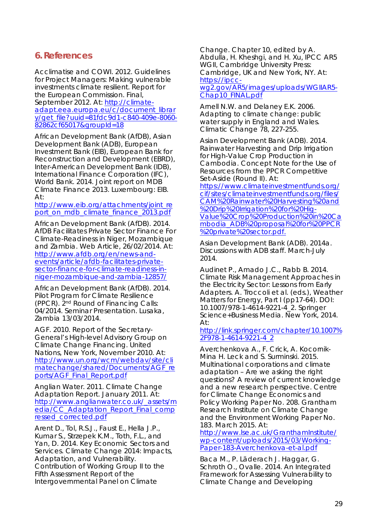# **6. References**

Acclimatise and COWI. 2012. *Guidelines for Project Managers: Making vulnerable investments climate resilient.* Report for the European Commission. Final, September 2012. At: http://climateadapt.eea.europa.eu/c/document\_librar y/get\_file?uuid=81fdc9d1-c840-409e-8060- 82862cf65017&groupId=18

African Development Bank (AfDB), Asian Development Bank (ADB), European Investment Bank (EIB), European Bank for Reconstruction and Development (EBRD), Inter-American Development Bank (IDB), International Finance Corporation (IFC), World Bank. 2014. *Joint report on MDB Climate Finance 2013*. Luxembourg: EIB. At:

http://www.eib.org/attachments/joint\_re port on mdb climate finance 2013.pdf

African Development Bank (AfDB). 2014. AfDB *Facilitates Private Sector Finance For Climate-Readiness in Niger, Mozambique and Zambia. Web Article, 26/02/2014. At:*  http://www.afdb.org/en/news-andevents/article/afdb-facilitates-privatesector-finance-for-climate-readiness-inniger-mozambique-and-zambia-12857/

African Development Bank (AfDB). 2014*. Pilot Program for Climate Resilience (PPCR*). 2nd Round of Financing Calls: 04/2014. Seminar Presentation. Lusaka, Zambia 13/03/2014.

AGF. 2010. *Report of the Secretary-General's High-level Advisory Group on Climate Change Financing*. United Nations, New York, November 2010. At: http://www.un.org/wcm/webdav/site/cli matechange/shared/Documents/AGF\_re ports/AGF\_Final\_Report.pdf

Anglian Water. 2011. *Climate Change Adaptation Report*. January 2011. At: http://www.anglianwater.co.uk/\_assets/m edia/CC\_Adaptation\_Report\_Final\_comp ressed\_corrected.pdf

Arent D., Tol, R.S.J., Faust E., Hella J.P., Kumar S., Strzepek K.M., Toth, F.L., and Yan, D. 2014. *Key Economic Sectors and Services*. Climate Change 2014: Impacts, Adaptation, and Vulnerability. Contribution of Working Group II to the Fifth Assessment Report of the Intergovernmental Panel on Climate

Change. Chapter 10, edited by A. Abdulla, H. Kheshgi, and H. Xu, IPCC AR5 WGII, Cambridge University Press: Cambridge, UK and New York, NY. At: https://ipccwg2.gov/AR5/images/uploads/WGIIAR5- Chap10\_FINAL.pdf

Arnell N.W. and Delaney E.K. 2006. *Adapting to climate change: public water supply in England and Wales*. Climatic Change 78, 227-255.

Asian Development Bank (ADB). 2014. *Rainwater Harvesting and Drip Irrigation for High-Value Crop Production in Cambodia*. Concept Note for the Use of Resources from the PPCR Competitive Set-Aside (Round II). At:

https://www.climateinvestmentfunds.org/ cif/sites/climateinvestmentfunds.org/files/ CAM%20Rainwater%20Harvesting%20and %20Drip%20Irrigation%20for%20Hig-Value%20Crop%20Production%20in%20Ca mbodia\_ADB%20proposal%20for%20PPCR %20private%20sector.pdf.

Asian Development Bank (ADB). 2014a. Discussions with ADB staff. March-July 2014.

Audinet P., Amado J.C., Rabb B. 2014. *Climate Risk Management Approaches in the Electricity Sector: Lessons from Early Adapters*. A. Troccoli et al. (eds.), Weather Matters for Energy, Part I (pp17-64). DOI: 10.1007/978-1-4614-9221-4\_2. Springer Science+Business Media. New York, 2014. At:

http://link.springer.com/chapter/10.1007% 2F978-1-4614-9221-4\_2

Averchenkova A., F. Crick, A. Kocornik-Mina H. Leck and S. Surminski. 2015. *Multinational corporations and climate adaptation – Are we asking the right questions? A review of current knowledge and a new research perspective.* Centre for Climate Change Economics and Policy Working Paper No. 208. Grantham Research Institute on Climate Change and the Environment Working Paper No. 183. March 2015. At:

http://www.lse.ac.uk/GranthamInstitute/ wp-content/uploads/2015/03/Working-Paper-183-Averchenkova-et-al.pdf

Baca M., P. Läderach J. Haggar, G. Schroth O., Ovalle. 2014. *An Integrated Framework for Assessing Vulnerability to Climate Change and Developing*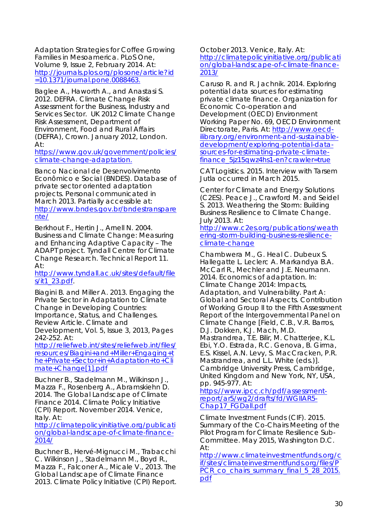*Adaptation Strategies for Coffee Growing Families in Mesoamerica*. PLoS One, Volume 9, Issue 2, February 2014. At: http://journals.plos.org/plosone/article?id =10.1371/journal.pone.0088463.

Baglee A., Haworth A., and Anastasi S. 2012. DEFRA. *Climate Change Risk Assessment for the Business, Industry and Services Sector*. UK 2012 Climate Change Risk Assessment, Department of Environment, Food and Rural Affairs (DEFRA), Crown. January 2012, London. At:

https://www.gov.uk/government/policies/ climate-change-adaptation.

Banco Nacional de Desenvolvimento Econômico e Social (BNDES). Database of private sector oriented adaptation projects. Personal communicated in March 2013. Partially accessible at: http://www.bndes.gov.br/bndestranspare nte/

Berkhout F., Hertin J., Arnell N. 2004. Business and Climate Change: Measuring and Enhancing Adaptive Capacity – The ADAPT project. Tyndall Centre for Climate Change Research. Technical Report 11. At:

http://www.tyndall.ac.uk/sites/default/file  $s/it1$  23.pdf.

Biagini B. and Miller A. 2013. *Engaging the Private Sector in Adaptation to Climate Change in Developing Countries: Importance, Status, and Challenges.* Review Article. Climate and Development, Vol. 5, Issue 3, 2013, Pages 242-252. At:

http://reliefweb.int/sites/reliefweb.int/files/ resources/Biagini+and+Miller+Engaging+t he+Private+Sector+in+Adaptation+to+Cli mate+Change[1].pdf

Buchner B., Stadelmann M., Wilkinson J., Mazza F., Rosenberg A., Abramskiehn D. 2014. The *Global Landscape of Climate Finance 2014*. Climate Policy Initiative (CPI) Report. November 2014. Venice, Italy. At:

http://climatepolicyinitiative.org/publicati on/global-landscape-of-climate-finance- $20147$ 

Buchner B., Hervé-Mignucci M., Trabacchi C. Wilkinson J., Stadelmann M., Boyd R., Mazza F., Falconer A., Micale V., 2013. *The Global Landscape of Climate Finance 2013*. Climate Policy Initiative (CPI) Report.

October 2013. Venice, Italy. At: http://climatepolicyinitiative.org/publicati on/global-landscape-of-climate-finance-2013/

Caruso R. and R. Jachnik. 2014. *Exploring potential data sources for estimating private climate finance*. Organization for Economic Co-operation and Development (OECD) Environment Working Paper No. 69, OECD Environment Directorate, Paris. At: http://www.oecdilibrary.org/environment-and-sustainabledevelopment/exploring-potential-datasources-for-estimating-private-climatefinance 5jz15qwz4hs1-en?crawler=true

CAT Logistics. 2015. Interview with Tarsem Jutla occurred in March 2015.

Center for Climate and Energy Solutions (C2ES). Peace J., Crawford M. and Seidel S. 2013. *Weathering the Storm: Building Business Resilience to Climate Change*. July 2013. At:

http://www.c2es.org/publications/weath ering-storm-building-business-resilienceclimate-change

Chambwera M., G. Heal C. Dubeux S. Hallegatte L. Leclerc A. Markandya B.A. McCarl R., Mechler and J.E. Neumann. 2014. *Economics of adaptation*. In: Climate Change 2014: Impacts, Adaptation, and Vulnerability. Part A: Global and Sectoral Aspects. Contribution of Working Group II to the Fifth Assessment Report of the Intergovernmental Panel on Climate Change [Field, C.B., V.R. Barros, D.J. Dokken, K.J. Mach, M.D. Mastrandrea, T.E. Bilir, M. Chatterjee, K.L.

Ebi, Y.O. Estrada, R.C. Genova, B. Girma, E.S. Kissel, A.N. Levy, S. MacCracken, P.R. Mastrandrea, and L.L. White (eds.)]. Cambridge University Press, Cambridge, United Kingdom and New York, NY, USA, pp. 945-977. At:

https://www.ipcc.ch/pdf/assessmentreport/ar5/wg2/drafts/fd/WGIIAR5- Chap17\_FGDall.pdf

Climate Investment Funds (CIF). 2015. *Summary of the Co-Chairs Meeting of the Pilot Program for Climate Resilience Sub-Committee*. May 2015, Washington D.C. At:

http://www.climateinvestmentfunds.org/c if/sites/climateinvestmentfunds.org/files/P PCR\_co\_chairs\_summary\_final\_5\_28\_2015. pdf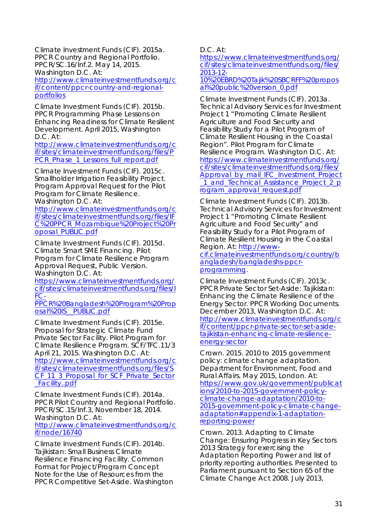Climate Investment Funds (CIF). 2015a. *PPCR Country and Regional Portfolio*. PPCR/SC.16/Inf.2. May 14, 2015. Washington D.C. At:

http://www.climateinvestmentfunds.org/c if/content/ppcr-country-and-regionalportfolios

Climate Investment Funds (CIF). 2015b. *PPCR Programming Phase Lessons on Enhancing Readiness for Climate Resilient Development*. April 2015, Washington D.C. At:

http://www.climateinvestmentfunds.org/c if/sites/climateinvestmentfunds.org/files/P PCR\_Phase\_1\_Lessons\_full\_report.pdf

Climate Investment Funds (CIF). 2015c. *Smallholder Irrigation Feasibility Project.* Program Approval Request for the Pilot Program for Climate Resilience. Washington D.C. At:

http://www.climateinvestmentfunds.org/c if/sites/climateinvestmentfunds.org/files/IF C%20PPCR\_Mozambique%20Project%20Pr oposal\_PUBLIC.pdf

Climate Investment Funds (CIF). 2015d. *Climate Smart SME Financing*. Pilot Program for Climate Resilience Program Approval Request, Public Version. Washington D.C. At:

https://www.climateinvestmentfunds.org/ cif/sites/climateinvestmentfunds.org/files/I FC-

PPCR%20Bangladesh%20Program%20Prop osal%20IS\_\_PUBLIC.pdf

Climate Investment Funds (CIF). 2015e. *Proposal for Strategic Climate Fund Private Sector Facility*. Pilot Program for Climate Resilience Program. SCF/TFC.11/3 April 21, 2015. Washington D.C. At: http://www.climateinvestmentfunds.org/c if/sites/climateinvestmentfunds.org/files/S CF\_11\_3\_Proposal\_for\_SCF\_Private\_Sector \_Facility..pdf

Climate Investment Funds (CIF). 2014a. *PPCR Pilot Country and Regional Portfolio*. PPCR/SC.15/Inf.3, November 18, 2014. Washington D.C. At:

http://www.climateinvestmentfunds.org/c if/node/16740

Climate Investment Funds (CIF). 2014b. *Tajikistan: Small Business Climate Resilience Financing Facility*. Common Format for Project/Program Concept Note for the Use of Resources from the PPCR Competitive Set-Aside. Washington D.C. At:

https://www.climateinvestmentfunds.org/ cif/sites/climateinvestmentfunds.org/files/ 2013-12-

10%20EBRD%20Tajik%20SBCRFF%20propos al%20public%20version\_0.pdf

Climate Investment Funds (CIF). 2013a. *Technical Advisory Services for Investment Project 1 "Promoting Climate Resilient Agriculture and Food Security and Feasibility Study for a Pilot Program of Climate Resilient Housing in the Coastal Region"*. Pilot Program for Climate Resilience Program. Washington D.C. At: https://www.climateinvestmentfunds.org/ cif/sites/climateinvestmentfunds.org/files/ Approval\_by\_mail\_IFC\_Investment\_Project 1 and Technical Assistance Project 2 p rogram\_approval\_request.pdf

Climate Investment Funds (CIF). 2013b. *Technical Advisory Services for Investment Project 1 "Promoting Climate Resilient Agriculture and Food Security" and Feasibility Study for a Pilot Program of Climate Resilient Housing in the Coastal Region.* At: http://www-

cif.climateinvestmentfunds.org/country/b angladesh/bangladeshs-ppcrprogramming.

Climate Investment Funds (CIF). 2013c. *PPCR Private Sector Set-Aside: Tajikistan: Enhancing the Climate Resilience of the Energy Sector. PPCR Working Documents. December 2013,* Washington D.C. *At:*  http://www.climateinvestmentfunds.org/c if/content/ppcr-private-sector-set-asidetajikistan-enhancing-climate-resilienceenergy-sector

Crown. 2015. *2010 to 2015 government policy: climate change adaptation*. Department for Environment, Food and Rural Affairs. May 2015, London. At: https://www.gov.uk/government/publicat ions/2010-to-2015-government-policyclimate-change-adaptation/2010-to-2015-government-policy-climate-changeadaptation#appendix-1-adaptationreporting-power

Crown. 2013. *Adapting to Climate Change: Ensuring Progress in Key Sectors 2013 Strategy for exercising the Adaptation Reporting Power and list of priority reporting authorities.* Presented to Parliament pursuant to Section 65 of the Climate Change Act 2008. July 2013,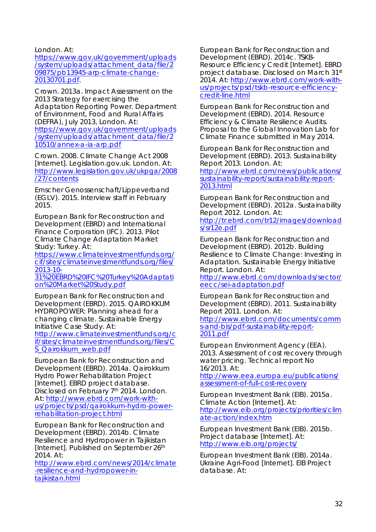London. At:

https://www.gov.uk/government/uploads /system/uploads/attachment\_data/file/2 09875/pb13945-arp-climate-change-20130701.pdf.

Crown. 2013a. *Impact Assessment on the 2013 Strategy for exercising the Adaptation Reporting Power.* Department of Environment, Food and Rural Affairs (DEFRA), July 2013, London. At: https://www.gov.uk/government/uploads /system/uploads/attachment\_data/file/2 10510/annex-a-ia-arp.pdf

Crown. 2008. *Climate Change Act 2008* [Internet]. Legislation.gov.uk. London. At: http://www.legislation.gov.uk/ukpga/2008 /27/contents

Emscher Genossenschaft/Lippeverband (EGLV). 2015. Interview staff in February 2015.

European Bank for Reconstruction and Development (EBRD) and International Finance Corporation (IFC). 2013. *Pilot Climate Change Adaptation Market Study: Turkey.* At:

https://www.climateinvestmentfunds.org/ cif/sites/climateinvestmentfunds.org/files/ 2013-10-

31%20EBRD%20IFC%20Turkey%20Adaptati on%20Market%20Study.pdf

European Bank for Reconstruction and Development (EBRD). 2015. *QAIROKKUM HYDROPOWER: Planning ahead for a changing climate*. Sustainable Energy Initiative Case Study. At:

http://www.climateinvestmentfunds.org/c if/sites/climateinvestmentfunds.org/files/C S\_Qairokkum\_web.pdf

European Bank for Reconstruction and Development (EBRD). 2014a. *Qairokkum Hydro Power Rehabilitation Project*  [Internet]. EBRD project database. Disclosed on February 7<sup>th</sup> 2014. London. At: http://www.ebrd.com/work-withus/projects/psd/qairokkum-hydro-powerrehabilitation-project.html

European Bank for Reconstruction and Development (EBRD). 2014b. *Climate Resilience and Hydropower in Tajikistan*  [Internet]. Published on September 26<sup>th</sup> 2014. At:

http://www.ebrd.com/news/2014/climate -resilience-and-hydropower-intajikistan.html

European Bank for Reconstruction and Development (EBRD). 2014c. *TSKB-Resource Efficiency Credit* [Internet]. EBRD project database. Disclosed on March 31st 2014. At: http://www.ebrd.com/work-withus/projects/psd/tskb-resource-efficiencycredit-line.html

European Bank for Reconstruction and Development (EBRD). 2014. *Resource Efficiency & Climate Resilience Audits.* Proposal to the Global Innovation Lab for Climate Finance submitted in May 2014.

European Bank for Reconstruction and Development (EBRD). 2013. *Sustainability Report 2013*. London. At: http://www.ebrd.com/news/publications/ sustainability-report/sustainability-report-2013.html

European Bank for Reconstruction and Development (EBRD). 2012a. *Sustainability Report 2012*. London. At: http://tr.ebrd.com/tr12/images/download s/sr12e.pdf

European Bank for Reconstruction and Development (EBRD). 2012b. Building Resilience to Climate Change: Investing in Adaptation. Sustainable Energy Initiative Report. London. At:

http://www.ebrd.com/downloads/sector/ eecc/sei-adaptation.pdf

European Bank for Reconstruction and Development (EBRD). 2011. *Sustainability Report 2011*. London. At: http://www.ebrd.com/documents/comm s-and-bis/pdf-sustainability-report-2011.pdf

European Environment Agency (EEA). 2013. *Assessment of cost recovery through water pricing.* Technical report No 16/2013. At:

http://www.eea.europa.eu/publications/ assessment-of-full-cost-recovery

European Investment Bank (EIB). 2015a. *Climate Action* [Internet]. At: http://www.eib.org/projects/priorities/clim ate-action/index.htm

European Investment Bank (EIB). 2015b. Project database [Internet]. At: http://www.eib.org/projects/

European Investment Bank (EIB). 2014a. *Ukraine Agri-Food* [Internet]. EIB Project database. At: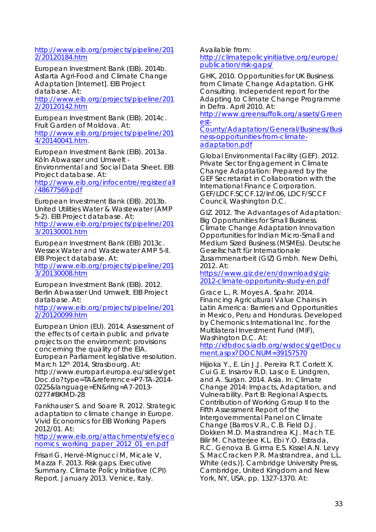#### http://www.eib.org/projects/pipeline/201 2/20120184.htm

European Investment Bank (EIB). 2014b. *Astarta Agri-Food and Climate Change Adaptation* [Internet]. EIB Project database. At:

http://www.eib.org/projects/pipeline/201 2/20120142.htm

European Investment Bank (EIB). 2014c. *Fruit Garden of Moldova*. At: http://www.eib.org/projects/pipeline/201 4/20140041.htm.

European Investment Bank (EIB). 2013a. *Köln Abwasser und Umwelt - Environmental and Social Data Sheet.* EIB Project database. At: http://www.eib.org/infocentre/register/all /48677569.pdf

European Investment Bank (EIB). 2013b. *United Utilities Water & Wastewater (AMP 5-2)*. EIB Project database. At: http://www.eib.org/projects/pipeline/201 3/20130001.htm

European Investment Bank (EIB) 2013c. Wessex Water and Wastewater AMP 5-II. EIB Project database. At:

http://www.eib.org/projects/pipeline/201 3/20130008.htm

European Investment Bank (EIB). 2012. *Berlin Abwasser Und Umwelt.* EIB Project database. At:

http://www.eib.org/projects/pipeline/201 2/20120099.htm

European Union (EU). 2014. *Assessment of the effects of certain public and private projects on the environment: provisions concerning the quality of the EIA*. European Parliament legislative resolution. March 12<sup>th</sup> 2014, Strasbourg. At: http://www.europarl.europa.eu/sides/get Doc.do?type=TA&reference=P7-TA-2014- 0225&language=EN&ring=A7-2013- 0277#BKMD-28

Fankhauser S. and Soare R. 2012. *Strategic adaptation to climate change in Europe*. Vivid Economics for EIB Working Papers 2012/01. At:

http://www.eib.org/attachments/efs/eco nomics working paper 2012 01 en.pdf

Frisari G, Hervé-Mignucci M, Micale V, Mazza F. 2013. *Risk gaps. Executive Summary*. Climate Policy Initiative (CPI) Report. January 2013. Venice, Italy.

Available from:

http://climatepolicyinitiative.org/europe/ publication/risk-gaps/

GHK, 2010. *Opportunities for UK Business from Climate Change Adaptation.* GHK Consulting. Independent report for the Adapting to Climate Change Programme in Defra. April 2010. At:

http://www.greensuffolk.org/assets/Green est-

County/Adaptation/General/Business/Busi ness-opportunities-from-climateadaptation.pdf

Global Environmental Facility (GEF). 2012. *Private Sector Engagement in Climate Change Adaptation: Prepared by the GEF Secretariat in Collaboration with the International Finance Corporation.*  GEF/LDCF.SCCF.12/Inf.06, LDCF/SCCF Council, Washington D.C.

GIZ. 2012. *The Advantages of Adaptation: Big Opportunities for Small Business. Climate Change Adaptation Innovation Opportunities for Indian Micro-Small and Medium Sized Business (MSMEs).* Deutsche Gesellschaft für Internationale Zusammenarbeit (GIZ) Gmbh. New Delhi, 2012. At:

https://www.giz.de/en/downloads/giz-2012-climate-opportunity-study-en.pdf

Grace L., R. Moyes A. Spahr. 2014. *Financing Agricultural Value Chains in Latin America: Barriers and Opportunities in Mexico, Peru and Honduras.* Developed by Chemonics International Inc. for the Multilateral Investment Fund (MIF), Washington D.C. At:

http://idbdocs.iadb.org/wsdocs/getDocu ment.aspx?DOCNUM=39157570

Hijioka Y., E. Lin J.J. Pereira R.T. Corlett X. Cui G.E. Insarov R.D. Lasco E. Lindgren, and A. Surjan. 2014. *Asia.* In: Climate Change 2014: Impacts, Adaptation, and Vulnerability. Part B: Regional Aspects. Contribution of Working Group II to the Fifth Assessment Report of the Intergovernmental Panel on Climate Change [Barros V.R., C.B. Field D.J. Dokken M.D. Mastrandrea K.J. Mach T.E. Bilir M. Chatterjee K.L. Ebi Y.O. Estrada, R.C. Genova B. Girma E.S. Kissel A.N. Levy S. MacCracken P.R. Mastrandrea, and L.L. White (eds.)]. Cambridge University Press, Cambridge, United Kingdom and New York, NY, USA, pp. 1327-1370. At: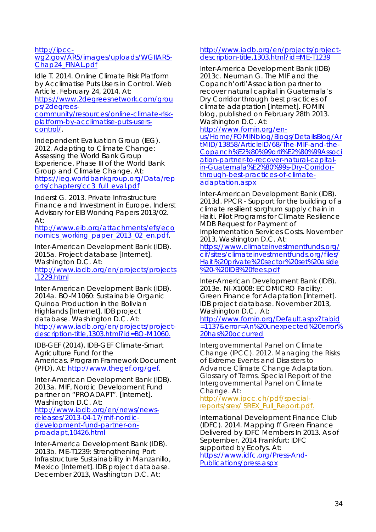#### http://ipcc-

#### wg2.gov/AR5/images/uploads/WGIIAR5- Chap24\_FINAL.pdf

Idle T. 2014. *Online Climate Risk Platform by Acclimatise Puts Users in Control*. Web Article. February 24, 2014. At:

https://www.2degreesnetwork.com/grou ps/2degrees-

community/resources/online-climate-riskplatform-by-acclimatise-puts-userscontrol/.

Independent Evaluation Group (IEG). 2012. *Adapting to Climate Change: Assessing the World Bank Group Experience*. Phase III of the World Bank Group and Climate Change. At: https://ieg.worldbankgroup.org/Data/rep orts/chapters/cc3\_full\_eval.pdf

Inderst G. 2013. *Private Infrastructure Finance and Investment in Europe*. Inderst Advisory for EIB Working Papers 2013/02. At:

http://www.eib.org/attachments/efs/eco nomics working paper 2013 02 en.pdf.

Inter-American Development Bank (IDB). 2015a. Project database [Internet]. Washington D.C. *At:* 

http://www.iadb.org/en/projects/projects ,1229.html

Inter-American Development Bank (IDB). 2014a. *BO-M1060: Sustainable Organic Quinoa Production in the Bolivian Highlands* [Internet]. IDB project database. Washington D.C. At: http://www.iadb.org/en/projects/projectdescription-title,1303.html?id=BO-M1060.

IDB-GEF (2014). IDB-GEF Climate-Smart Agriculture Fund for the Americas. Program Framework Document (PFD). At: http://www.thegef.org/gef.

Inter-American Development Bank (IDB). 2013a. *MIF, Nordic Development Fund partner on "PROADAPT"*. [Internet]. Washington D.C. At: http://www.iadb.org/en/news/newsreleases/2013-04-17/mif-nordicdevelopment-fund-partner-onproadapt,10426.html

Inter-America Development Bank (IDB). 2013b. *ME-T1239: Strengthening Port Infrastructure Sustainability in Manzanillo, Mexico* [Internet]. IDB project database. December 2013, Washington D.C. At:

#### http://www.iadb.org/en/projects/projectdescription-title,1303.html?id=ME-T1239

Inter-America Development Bank (IDB) 2013c. Neuman G. *The MIF and the Copanch'orti'Association partner to recover natural capital in Guatemala's Dry Corridor through best practices of climate adaptation* [Internet]. FOMIN blog, published on February 28th 2013. Washington D.C. At:

#### http://www.fomin.org/en-

us/Home/FOMINblog/Blogs/DetailsBlog/Ar tMID/13858/ArticleID/68/The-MIF-and-the-Copanch%E2%80%99orti%E2%80%99Associ ation-partner-to-recover-natural-capitalin-Guatemala%E2%80%99s-Dry-Corridorthrough-best-practices-of-climateadaptation.aspx

Inter-American Development Bank (IDB). 2013d. *PPCR - Support for the building of a climate resilient sorghum supply chain in Haiti.* Pilot Programs for Climate Resilience MDB Request for Payment of Implementation Services Costs. November 2013, Washington D.C. At: https://www.climateinvestmentfunds.org/ cif/sites/climateinvestmentfunds.org/files/

Haiti%20private%20sector%20set%20aside %20-%20IDB%20fees.pdf

Inter-American Development Bank (IDB). 2013e. NI-X1008: ECOMICRO Facility: Green Finance for Adaptation [Internet]. IDB project database. November 2013, Washington D.C. At:

http://www.fomin.org/Default.aspx?tabid =1137&error=An%20unexpected%20error% 20has%20occurred

Intergovernmental Panel on Climate Change (IPCC). 2012. *Managing the Risks of Extreme Events and Disasters to Advance Climate Change Adaptation. Glossary of Terms*. Special Report of the Intergovernmental Panel on Climate Change. At:

http://www.ipcc.ch/pdf/specialreports/srex/ SREX\_Full\_Report.pdf.

International Development Finance Club (IDFC). 2014. *Mapping ff Green Finance Delivered by IDFC Members In 2013*. As of September, 2014 Frankfurt: IDFC supported by Ecofys. At: https://www.idfc.org/Press-And-Publications/press.aspx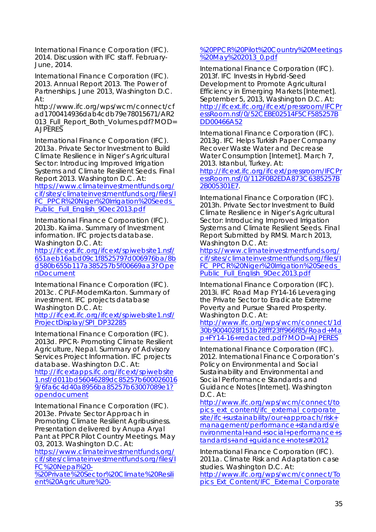International Finance Corporation (IFC). 2014. Discussion with IFC staff. February-June, 2014.

International Finance Corporation (IFC). 2013. *Annual Report 2013. The Power of Partnerships*. June 2013, Washington D.C. At:

http://www.ifc.org/wps/wcm/connect/cf ad1700414936dab4cdb79e78015671/AR2 013\_Full\_Report\_Both\_Volumes.pdf?MOD= AJPERES

International Finance Corporation (IFC). 2013a. *Private Sector Investment to Build Climate Resilience in Niger's Agricultural Sector: Introducing Improved Irrigation Systems and Climate Resilient Seeds*. Final Report 2013. Washington D.C. At: https://www.climateinvestmentfunds.org/ cif/sites/climateinvestmentfunds.org/files/I FC\_PPCR%20Niger%20Irrigation%20Seeds\_ Public\_Full\_English\_9Dec2013.pdf

International Finance Corporation (IFC). 2013b. *Kaiima*. Summary of Investment information. IFC projects database. Washington D.C. At:

http://ifcext.ifc.org/ifcext/spiwebsite1.nsf/ 651aeb16abd09c1f8525797d006976ba/8b d580b655b117a385257b5f00669aa3?Ope nDocument

International Finance Corporation (IFC). 2013c. *CPLF-ModernKarton. Summary of investment*. IFC projects database Washington D.C. At:

http://ifcext.ifc.org/ifcext/spiwebsite1.nsf/ ProjectDisplay/SPI\_DP32285

International Finance Corporation (IFC). 2013d. *PPCR- Promoting Climate Resilient Agriculture, Nepal. Summary of Advisory Services Project Information*. IFC projects database. Washington D.C. At:

http://ifcextapps.ifc.org/ifcext/spiwebsite 1.nsf/d011bd56046289dc85257b600026016 9/6fa6c4d40a8956ba85257b63007089e1? opendocument

International Finance Corporation (IFC). 2013e. *Private Sector Approach in Promoting Climate Resilient Agribusiness. Presentation delivered by* Anupa Aryal Pant at PPCR Pilot Country Meetings. May 03, 2013. Washington D.C. At:

https://www.climateinvestmentfunds.org/ cif/sites/climateinvestmentfunds.org/files/I FC%20Nepal%20-

%20Private%20Sector%20Climate%20Resili ent%20Agriculture%20-

#### %20PPCR%20Pilot%20Country%20Meetings %20May%202013\_0.pdf

International Finance Corporation (IFC). 2013f. *IFC Invests in Hybrid-Seed Development to Promote Agricultural Efficiency in Emerging Markets* [Internet]. *September 5, 2013, Washington D.C. At:*  http://ifcext.ifc.org/ifcext/pressroom/IFCPr essRoom.nsf/0/52CEBE02514F5CF585257B DD00466A52

International Finance Corporation (IFC). 2013g. *IFC Helps Turkish Paper Company Recover Waste Water and Decrease Water Consumption* [Internet]. *March 7, 2013. Istanbul, Turkey. At:* 

http://ifcext.ifc.org/ifcext/pressroom/IFCPr essRoom.nsf/0/112F0B2EDA873C6385257B 2B005301E7*.* 

International Finance Corporation (IFC). 2013h. *Private Sector Investment to Build Climate Resilience in Niger's Agricultural Sector: Introducing Improved Irrigation Systems and Climate Resilient Seeds.* Final Report Submitted by RMSI. March 2013, Washington D.C. *At:* 

https://www.climateinvestmentfunds.org/ cif/sites/climateinvestmentfunds.org/files/I FC\_PPCR%20Niger%20Irrigation%20Seeds Public\_Full\_English\_9Dec2013.pdf

International Finance Corporation (IFC). 2013i. *IFC Road Map FY14-16 Leveraging the Private Sector to Eradicate Extreme Poverty and Pursue Shared Prosperity*. Washington D.C. At:

http://www.ifc.org/wps/wcm/connect/1d 30b9004028f151b28fff23ff966f85/Road+Ma p+FY14-16+redacted.pdf?MOD=AJPERES

International Finance Corporation (IFC). 2012. International Finance Corporation's Policy on Environmental and Social Sustainability and *Environmental and Social Performance Standards and Guidance Notes* [Internet]. Washington D.C. At:

http://www.ifc.org/wps/wcm/connect/to pics\_ext\_content/ifc\_external\_corporate\_ site/ifc+sustainability/our+approach/risk+ management/performance+standards/e nvironmental+and+social+performance+s tandards+and+guidance+notes#2012

International Finance Corporation (IFC). 2011a. *Climate Risk and Adaptation* case studies. Washington D.C. At:

http://www.ifc.org/wps/wcm/connect/To pics\_Ext\_Content/IFC\_External\_Corporate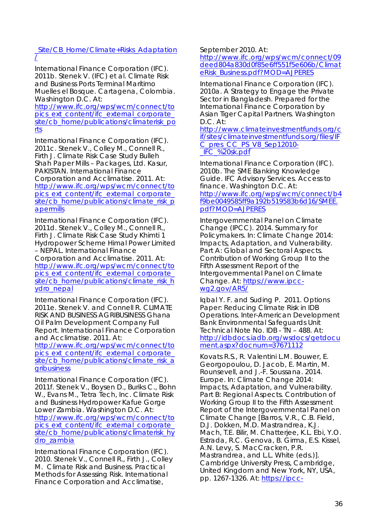#### \_Site/CB\_Home/Climate+Risks\_Adaptation /

International Finance Corporation (IFC). 2011b. Stenek V. (IFC) et al. *Climate Risk and Business Ports Terminal Marítimo Muelles el Bosque. Cartagena, Colombia*. Washington D.C. At:

http://www.ifc.org/wps/wcm/connect/to pics\_ext\_content/ifc\_external\_corporate\_ site/cb\_home/publications/climaterisk\_po rts

International Finance Corporation (IFC). 2011c. Stenek V., Colley M., Connell R., Firth J. *Climate Risk Case Study Bulleh Shah Paper Mills – Packages, Ltd. Kasur, PAKISTAN.* International Finance Corporation and Acclimatise. 2011. At: http://www.ifc.org/wps/wcm/connect/to pics\_ext\_content/ifc\_external\_corporate\_ site/cb\_home/publications/climate\_risk\_p apermills

International Finance Corporation (IFC). 2011d. Stenek V., Colley M., Connell R., Firth J. *Climate Risk Case Study Khimti 1 Hydropower Scheme Himal Power Limited – NEPAL*. International Finance Corporation and Acclimatise. 2011. At: http://www.ifc.org/wps/wcm/connect/to pics\_ext\_content/ifc\_external\_corporate\_ site/cb\_home/publications/climate\_risk\_h vdro\_nepal

International Finance Corporation (IFC). 2011e. Stenek V. and Connell R. *CLIMATE RISK AND BUSINESS AGRIBUSINESS Ghana Oil Palm Development Company Full Report.* International Finance Corporation and Acclimatise. 2011. At:

http://www.ifc.org/wps/wcm/connect/to pics ext content/ifc\_external\_corporate site/cb\_home/publications/climate\_risk\_a gribusiness

International Finance Corporation (IFC). 2011f. Stenek V., Boysen D., Buriks C., Bohn W., Evans M., Tetra Tech, Inc. *Climate Risk and Business Hydropower Kafue Gorge Lower Zambia*. Washington D.C. At: http://www.ifc.org/wps/wcm/connect/to pics\_ext\_content/ifc\_external\_corporate site/cb\_home/publications/climaterisk\_hy dro\_zambia

International Finance Corporation (IFC). 2010. Stenek V., Connell R., Firth J., Colley M. *Climate Risk and Business. Practical Methods for Assessing Risk*. International Finance Corporation and Acclimatise,

September 2010. At:

http://www.ifc.org/wps/wcm/connect/09 deed804a830d0f85e6ff551f5e606b/Climat eRisk\_Business.pdf?MOD=AJPERES

International Finance Corporation (IFC). 2010a. *A Strategy to Engage the Private Sector in Bangladesh*. Prepared for the International Finance Corporation by Asian Tiger Capital Partners. Washington D.C. At:

http://www.climateinvestmentfunds.org/c if/sites/climateinvestmentfunds.org/files/IF C\_pres\_CC\_PS\_V8\_Sep12010- \_IFC\_%20sk.pdf

International Finance Corporation (IFC). 2010b. *The SME Banking Knowledge Guide.* IFC Advisory Services. Access to finance. Washington D.C. At: http://www.ifc.org/wps/wcm/connect/b4 f9be0049585ff9a192b519583b6d16/SMEE. pdf?MOD=AJPERES

Intergovernmental Panel on Climate Change (IPCC). 2014. *Summary for Policymakers*. In: *Climate Change 2014: Impacts, Adaptation, and Vulnerability. Part A: Global and Sectoral Aspects. Contribution of Working Group II to the Fifth Assessment Report of the Intergovernmental Panel on Climate Change. At:* https://www.ipccwg2.gov/AR5/

Iqbal Y. F. and Suding P. 2011. *Options Paper: Reducing Climate Risk in IDB Operations*. Inter-American Development Bank Environmental Safeguards Unit Technical Note No. IDB - TN – 488. At: http://idbdocs.iadb.org/wsdocs/getdocu ment.aspx?docnum=37671112

Kovats R.S., R. Valentini L.M. Bouwer, E. Georgopoulou, D. Jacob, E. Martin, M. Rounsevell, and J.-F. Soussana. 2014. *Europe.* In: Climate Change 2014: Impacts, Adaptation, and Vulnerability. Part B: Regional Aspects. Contribution of Working Group II to the Fifth Assessment Report of the Intergovernmental Panel on Climate Change [Barros, V.R., C.B. Field, D.J. Dokken, M.D. Mastrandrea, K.J. Mach, T.E. Bilir, M. Chatterjee, K.L. Ebi, Y.O. Estrada, R.C. Genova, B. Girma, E.S. Kissel, A.N. Levy, S. MacCracken, P.R. Mastrandrea, and L.L. White (eds.)]. Cambridge University Press, Cambridge, United Kingdom and New York, NY, USA, pp. 1267-1326. At: https://ipcc-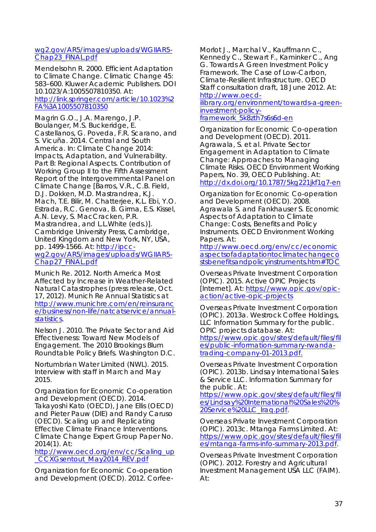#### wg2.gov/AR5/images/uploads/WGIIAR5- Chap23\_FINAL.pdf

Mendelsohn R. 2000. *Efficient Adaptation to Climate Change*. Climatic Change 45: 583–600. Kluwer Academic Publishers. DOI 10.1023/A:1005507810350. At: http://link.springer.com/article/10.1023%2 FA%3A1005507810350

Magrin G.O., J.A. Marengo, J.P. Boulanger, M.S. Buckeridge, E. Castellanos, G. Poveda, F.R. Scarano, and S. Vicuña. 2014. *Central and South America*. In: Climate Change 2014: Impacts, Adaptation, and Vulnerability. Part B: Regional Aspects. Contribution of Working Group II to the Fifth Assessment Report of the Intergovernmental Panel on Climate Change [Barros, V.R., C.B. Field, D.J. Dokken, M.D. Mastrandrea, K.J. Mach, T.E. Bilir, M. Chatterjee, K.L. Ebi, Y.O. Estrada, R.C. Genova, B. Girma, E.S. Kissel, A.N. Levy, S. MacCracken, P.R. Mastrandrea, and L.L.White (eds.)]. Cambridge University Press, Cambridge, United Kingdom and New York, NY, USA, pp. 1499-1566. At: http://ipccwg2.gov/AR5/images/uploads/WGIIAR5- Chap27\_FINAL.pdf

Munich Re. 2012. *North America Most Affected by Increase in Weather-Related Natural Catastrophes* (press release, Oct. 17, 2012). Munich Re Annual Statistics at http://www.munichre.com/en/reinsuranc e/business/non-life/natcatservice/annualstatistics.

Nelson J. 2010. *The Private Sector and Aid Effectiveness: Toward New Models of Engagement.* The 2010 Brookings Blum Roundtable Policy Briefs. Washington D.C.

Nortumbrian Water Limited (NWL). 2015. Interview with staff in March and May 2015.

Organization for Economic Co-operation and Development (OECD). 2014. Takayoshi Kato (OECD), Jane Ellis (OECD) and Pieter Pauw (DIE) and Randy Caruso (OECD). *Scaling up and Replicating Effective Climate Finance Interventions*. Climate Change Expert Group Paper No. 2014(1). At:

http://www.oecd.org/env/cc/Scaling\_up \_CCXGsentout\_May2014\_REV.pdf

Organization for Economic Co-operation and Development (OECD). 2012. Corfee-

Morlot J., Marchal V., Kauffmann C., Kennedy C., Stewart F., Kaminker C., Ang G. *Towards A Green Investment Policy Framework. The Case of Low-Carbon, Climate-Resilient Infrastructure*. OECD Staff consultation draft, 18 June 2012. At: http://www.oecdilibrary.org/environment/towards-a-greeninvestment-policy-

framework\_5k8zth7s6s6d-en

Organization for Economic Co-operation and Development (OECD). 2011. Agrawala, S. et al. *Private Sector Engagement in Adaptation to Climate Change: Approaches to Managing Climate Risks*. OECD Environment Working Papers, No. 39, OECD Publishing. At: http://dx.doi.org/10.1787/5kg221jkf1g7-en

Organization for Economic Co-operation and Development (OECD). 2008. Agrawala S. and Fankhauser S. *Economic Aspects of Adaptation to Climate Change: Costs, Benefits and Policy Instruments*. OECD Environment Working Papers. At:

http://www.oecd.org/env/cc/economic aspectsofadaptationtoclimatechangeco stsbenefitsandpolicyinstruments.htm#TOC

Overseas Private Investment Corporation (OPIC). 2015. Active OPIC Projects [Internet]. At: https://www.opic.gov/opicaction/active-opic-projects

Overseas Private Investment Corporation (OPIC). 2013a. *Westrock Coffee Holdings, LLC Information Summary for the public*. OPIC projects database. At:

https://www.opic.gov/sites/default/files/fil es/public-information-summary-rwandatrading-company-01-2013.pdf.

Overseas Private Investment Corporation (OPIC). 2013b. *Lindsay International Sales & Service LLC. Information Summary for the public.* At:

https://www.opic.gov/sites/default/files/fil es/Lindsay%20International%20Sales%20% 20Service%20LLC\_Iraq.pdf.

Overseas Private Investment Corporation (OPIC). 2013c. *Mtanga Farms Limited.* At: https://www.opic.gov/sites/default/files/fil es/mtanga-farms-info-summary-2013.pdf.

Overseas Private Investment Corporation (OPIC). 2012. *Forestry and Agricultural Investment Management USA LLC (FAIM)*. At: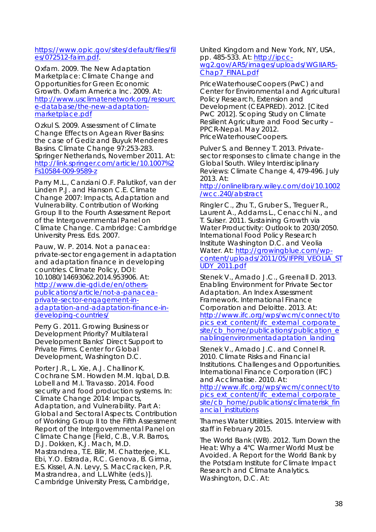#### https://www.opic.gov/sites/default/files/fil es/072512-faim.pdf.

Oxfam. 2009. *The New Adaptation Marketplace: Climate Change and Opportunities for Green Economic Growth.* Oxfam America Inc. 2009. At: http://www.usclimatenetwork.org/resourc e-database/the-new-adaptationmarketplace.pdf

Ozkul S. 2009. *Assessment of Climate Change Effects on Agean River Basins: the case of Gediz and Buyuk Menderes Basins*. Climate Change 97:253-283. Springer Netherlands, November 2011. At: http://link.springer.com/article/10.1007%2 Fs10584-009-9589-z

Parry M.L., Canziani O.F. Palutikof, van der Linden P.J. and Hanson C.E. *Climate Change 2007: Impacts, Adaptation and Vulnerability*. Contribution of Working Group II to the Fourth Assessment Report of the Intergovernmental Panel on Climate Change. Cambridge: Cambridge University Press. Eds. 2007.

Pauw, W. P. 2014. *Not a panacea: private-sector engagement in adaptation and adaptation finance in developing countries*. Climate Policy, DOI: 10.1080/14693062.2014.953906. At: http://www.die-gdi.de/en/otherspublications/article/not-a-panaceaprivate-sector-engagement-inadaptation-and-adaptation-finance-indeveloping-countries/

Perry G. 2011. *Growing Business or Development Priority? Multilateral Development Banks' Direct Support to Private Firms*. Center for Global Development, Washington D.C.

Porter J.R., L. Xie, A.J. Challinor K. Cochrane S.M. Howden M.M. Iqbal, D.B. Lobell and M.I. Travasso. 2014. *Food security and food production systems*. In: Climate Change 2014: Impacts, Adaptation, and Vulnerability. Part A: Global and Sectoral Aspects. Contribution of Working Group II to the Fifth Assessment Report of the Intergovernmental Panel on Climate Change [Field, C.B., V.R. Barros, D.J. Dokken, K.J. Mach, M.D. Mastrandrea, T.E. Bilir, M. Chatterjee, K.L. Ebi, Y.O. Estrada, R.C. Genova, B. Girma, E.S. Kissel, A.N. Levy, S. MacCracken, P.R. Mastrandrea, and L.L.White (eds.)]. Cambridge University Press, Cambridge,

United Kingdom and New York, NY, USA, pp. 485-533. At: http://ipccwg2.gov/AR5/images/uploads/WGIIAR5- Chap7\_FINAL.pdf

PriceWaterhouseCoopers (PwC) and Center for Environmental and Agricultural Policy Research, Extension and Development (CEAPRED). 2012. [Cited PwC 2012]. *Scoping Study on Climate Resilient Agriculture and Food Security* – PPCR-Nepal. May 2012. PriceWaterhouseCoopers.

Pulver S. and Benney T. 2013. Privatesector *responses to climate change in the Global South.* Wiley Interdisciplinary Reviews: Climate Change 4, 479-496. July 2013. At:

http://onlinelibrary.wiley.com/doi/10.1002 /wcc.240/abstract

Ringler C., Zhu T., Gruber S., Treguer R., Laurent A., Addams L., Cenacchi N., and T. Sulser. 2011. *Sustaining Growth via Water Productivity: Outlook to 2030/2050.* International Food Policy Research Institute Washington D.C. and Veolia Water. At: http://growingblue.com/wpcontent/uploads/2011/05/IFPRI\_VEOLIA\_ST UDY\_2011.pdf

Stenek V., Amado J.C., Greenall D. 2013. *Enabling Environment for Private Sector Adaptation. An Index Assessment Framework*. International Finance Corporation and Deloitte. 2013. At: http://www.ifc.org/wps/wcm/connect/to pics\_ext\_content/ifc\_external\_corporate\_ site/cb\_home/publications/publication\_e nablingenvironmentadaptation\_landing

Stenek V., Amado J.C. and Connel R. 2010. *Climate Risks and Financial Institutions. Challenges and Opportunities*. International Finance Corporation (IFC) and Acclimatise. 2010. At:

http://www.ifc.org/wps/wcm/connect/to pics\_ext\_content/ifc\_external\_corporate site/cb\_home/publications/climaterisk\_fin ancial\_institutions

Thames Water Utilities. 2015. Interview with staff in February 2015.

The World Bank (WB). 2012. *Turn Down the Heat: Why a 4°C Warmer World Must be Avoided*. A Report for the World Bank by the Potsdam Institute for Climate Impact Research and Climate Analytics. Washington, D.C. At: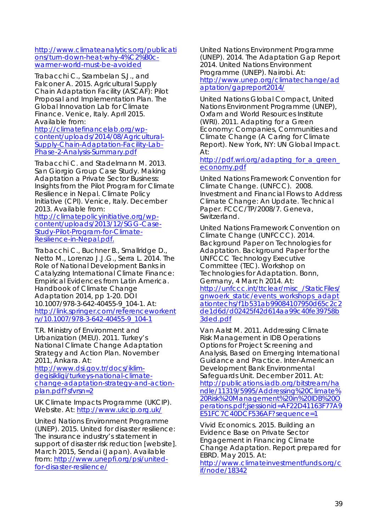http://www.climateanalytics.org/publicati ons/turn-down-heat-why-4%C2%B0cwarmer-world-must-be-avoided

Trabacchi C., Szambelan S.J., and Falconer A. 2015. *Agricultural Supply Chain Adaptation Facility (ASCAF): Pilot Proposal and Implementation Plan. The Global Innovation Lab for Climate Finance*. Venice, Italy. April 2015. Available from:

http://climatefinancelab.org/wpcontent/uploads/2014/08/Agricultural-Supply-Chain-Adaptation-Facility-Lab-Phase-2-Analysis-Summary.pdf

Trabacchi C. and Stadelmann M. 2013. *San Giorgio Group Case Study. Making Adaptation a Private Sector Business: Insights from the Pilot Program for Climate Resilience in Nepal*. Climate Policy Initiative (CPI). Venice, Italy. December 2013. Available from:

http://climatepolicyinitiative.org/wpcontent/uploads/2013/12/SGG-Case-Study-Pilot-Program-for-Climate-Resilience-in-Nepal.pdf.

Trabacchi C., Buchner B., Smallridge D., Netto M., Lorenzo J.J.G., Serra L. 2014. *The Role of National Development Banks in Catalyzing International Climate Finance: Empirical Evidences from Latin America.* Handbook of Climate Change Adaptation 2014, pp 1-20. DOI 10.1007/978-3-642-40455-9\_104-1. At: http://link.springer.com/referenceworkent ry/10.1007/978-3-642-40455-9\_104-1

T.R. Ministry of Environment and Urbanization (MEU). 2011. *Turkey's National Climate Change Adaptation Strategy and Action Plan*. November 2011, Ankara. At:

http://www.dsi.gov.tr/docs/iklimdegisikligi/turkeys-national-climatechange-adaptation-strategy-and-actionplan.pdf?sfvrsn=2

UK Climate Impacts Programme (UKCIP). Website. At: http://www.ukcip.org.uk/

United Nations Environment Programme (UNEP). 2015. *United for disaster resilience: The insurance industry's statement in support of disaster risk reduction* [website]. March 2015, Sendai (Japan). Available from: http://www.unepfi.org/psi/unitedfor-disaster-resilience/

United Nations Environment Programme (UNEP). 2014. *The Adaptation Gap Report 2014*. United Nations Environment Programme (UNEP). Nairobi. At: http://www.unep.org/climatechange/ad aptation/gapreport2014/

United Nations Global Compact, United Nations Environment Programme (UNEP), Oxfam and World Resources Institute (WRI). 2011. *Adapting for a Green Economy: Companies, Communities and Climate Change (A Caring for Climate Report)*. New York, NY: UN Global Impact. At:

http://pdf.wri.org/adapting for a green economy.pdf

United Nations Framework Convention for Climate Change. (UNFCC). 2008. *Investment and Financial Flows to Address Climate Change: An Update. Technical Paper.* FCCC/TP/2008/7. Geneva, Switzerland.

United Nations Framework Convention on Climate Change (UNFCCC). 2014. *Background Paper on Technologies for Adaptation.* Background Paper for the UNFCCC Technology Executive Committee (TEC). Workshop on Technologies for Adaptation. Bonn, Germany, 4 March 2014. At: http://unfccc.int/ttclear/misc\_/StaticFiles/ gnwoerk\_static/events\_workshops\_adapt ationtechs/f1b531ab99084107950d65c2c2 de1d6d/d02425f42d614aa99c40fe39758b 3ded.pdf

Van Aalst M. 2011. *Addressing Climate Risk Management in IDB Operations Options for Project Screening and Analysis, Based on Emerging International Guidance and Practice*. Inter-American Development Bank Environmental Safeguards Unit. December 2011. At: http://publications.iadb.org/bitstream/ha ndle/11319/5995/Addressing%20Climate% 20Risk%20Management%20in%20IDB%20O perations.pdf;jsessionid=AF22D41163F77A9 E51FC7C40DCF536AF?sequence=1

Vivid Economics. 2015. *Building an Evidence Base on Private Sector Engagement in Financing Climate Change Adaptation. Report prepared for EBRD*. May 2015. At:

http://www.climateinvestmentfunds.org/c if/node/18342